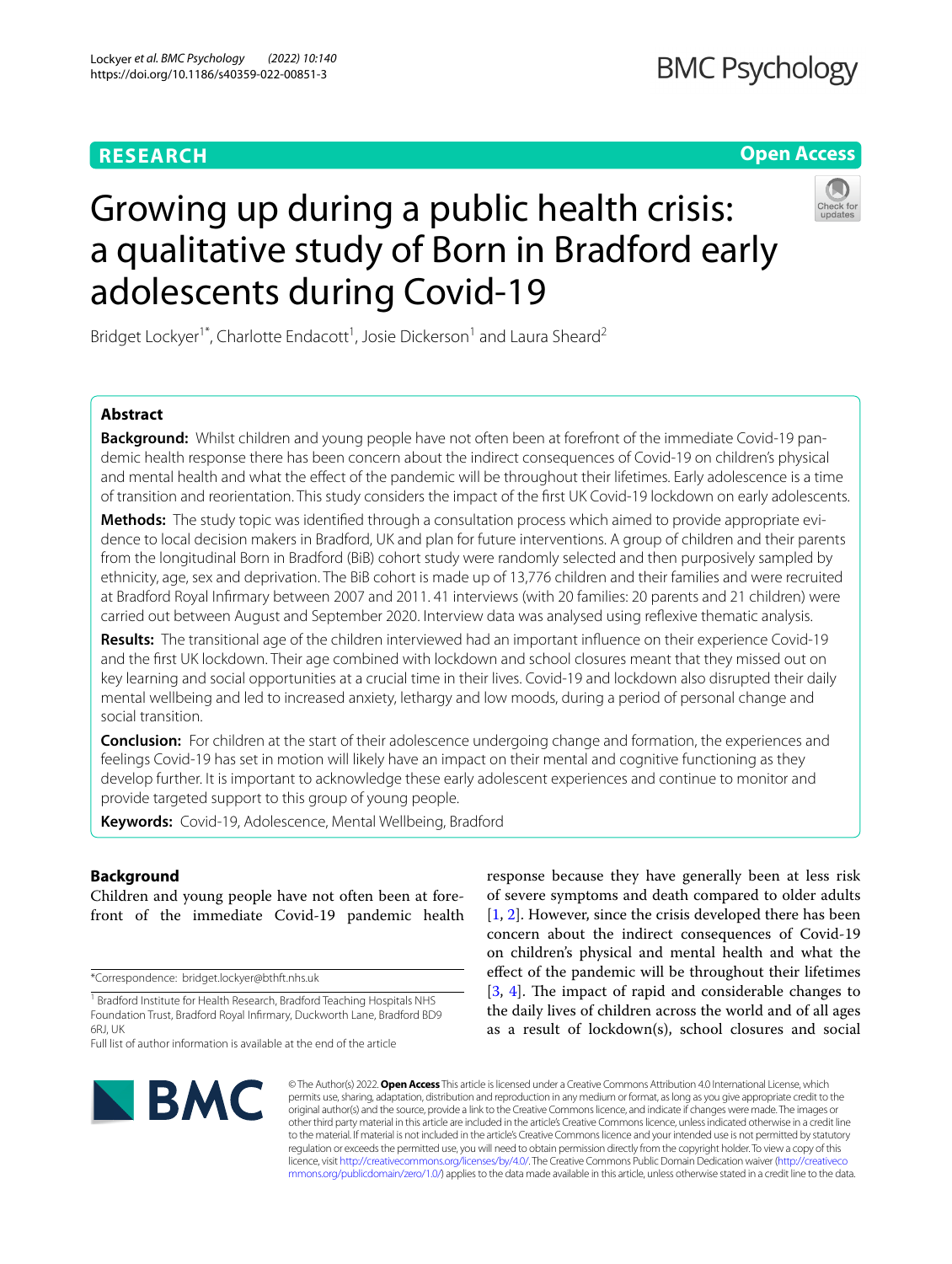# **RESEARCH**

# **Open Access**



# Growing up during a public health crisis: a qualitative study of Born in Bradford early adolescents during Covid-19

Bridget Lockyer<sup>1\*</sup>, Charlotte Endacott<sup>1</sup>, Josie Dickerson<sup>1</sup> and Laura Sheard<sup>2</sup>

# **Abstract**

**Background:** Whilst children and young people have not often been at forefront of the immediate Covid-19 pandemic health response there has been concern about the indirect consequences of Covid-19 on children's physical and mental health and what the efect of the pandemic will be throughout their lifetimes. Early adolescence is a time of transition and reorientation. This study considers the impact of the frst UK Covid-19 lockdown on early adolescents.

**Methods:** The study topic was identifed through a consultation process which aimed to provide appropriate evidence to local decision makers in Bradford, UK and plan for future interventions. A group of children and their parents from the longitudinal Born in Bradford (BiB) cohort study were randomly selected and then purposively sampled by ethnicity, age, sex and deprivation. The BiB cohort is made up of 13,776 children and their families and were recruited at Bradford Royal Infrmary between 2007 and 2011. 41 interviews (with 20 families: 20 parents and 21 children) were carried out between August and September 2020. Interview data was analysed using refexive thematic analysis.

**Results:** The transitional age of the children interviewed had an important infuence on their experience Covid-19 and the frst UK lockdown. Their age combined with lockdown and school closures meant that they missed out on key learning and social opportunities at a crucial time in their lives. Covid-19 and lockdown also disrupted their daily mental wellbeing and led to increased anxiety, lethargy and low moods, during a period of personal change and social transition.

**Conclusion:** For children at the start of their adolescence undergoing change and formation, the experiences and feelings Covid-19 has set in motion will likely have an impact on their mental and cognitive functioning as they develop further. It is important to acknowledge these early adolescent experiences and continue to monitor and provide targeted support to this group of young people.

**Keywords:** Covid-19, Adolescence, Mental Wellbeing, Bradford

# **Background**

Children and young people have not often been at forefront of the immediate Covid-19 pandemic health

\*Correspondence: bridget.lockyer@bthft.nhs.uk

BMC

response because they have generally been at less risk of severe symptoms and death compared to older adults [[1,](#page-10-0) [2\]](#page-10-1). However, since the crisis developed there has been concern about the indirect consequences of Covid-19 on children's physical and mental health and what the efect of the pandemic will be throughout their lifetimes  $[3, 4]$  $[3, 4]$  $[3, 4]$  $[3, 4]$ . The impact of rapid and considerable changes to the daily lives of children across the world and of all ages as a result of lockdown(s), school closures and social

© The Author(s) 2022. **Open Access** This article is licensed under a Creative Commons Attribution 4.0 International License, which permits use, sharing, adaptation, distribution and reproduction in any medium or format, as long as you give appropriate credit to the original author(s) and the source, provide a link to the Creative Commons licence, and indicate if changes were made. The images or other third party material in this article are included in the article's Creative Commons licence, unless indicated otherwise in a credit line to the material. If material is not included in the article's Creative Commons licence and your intended use is not permitted by statutory regulation or exceeds the permitted use, you will need to obtain permission directly from the copyright holder. To view a copy of this licence, visit [http://creativecommons.org/licenses/by/4.0/.](http://creativecommons.org/licenses/by/4.0/) The Creative Commons Public Domain Dedication waiver ([http://creativeco](http://creativecommons.org/publicdomain/zero/1.0/) [mmons.org/publicdomain/zero/1.0/](http://creativecommons.org/publicdomain/zero/1.0/)) applies to the data made available in this article, unless otherwise stated in a credit line to the data.

<sup>&</sup>lt;sup>1</sup> Bradford Institute for Health Research, Bradford Teaching Hospitals NHS Foundation Trust, Bradford Royal Infrmary, Duckworth Lane, Bradford BD9 6RJ, UK

Full list of author information is available at the end of the article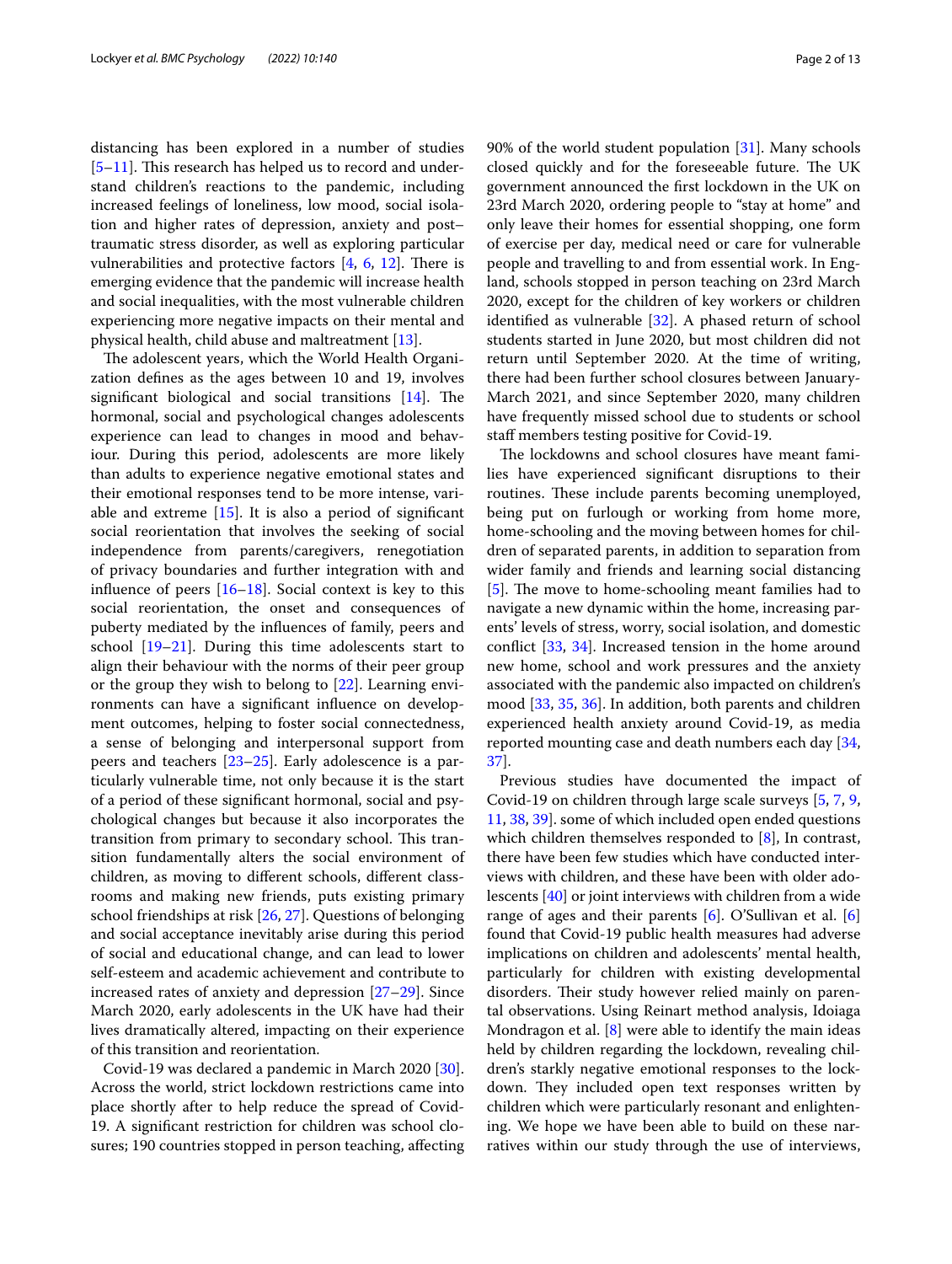distancing has been explored in a number of studies  $[5-11]$  $[5-11]$ . This research has helped us to record and understand children's reactions to the pandemic, including increased feelings of loneliness, low mood, social isolation and higher rates of depression, anxiety and post– traumatic stress disorder, as well as exploring particular vulnerabilities and protective factors  $[4, 6, 12]$  $[4, 6, 12]$  $[4, 6, 12]$  $[4, 6, 12]$  $[4, 6, 12]$ . There is emerging evidence that the pandemic will increase health and social inequalities, with the most vulnerable children experiencing more negative impacts on their mental and physical health, child abuse and maltreatment [[13\]](#page-11-2).

The adolescent years, which the World Health Organization defnes as the ages between 10 and 19, involves significant biological and social transitions  $[14]$  $[14]$ . The hormonal, social and psychological changes adolescents experience can lead to changes in mood and behaviour. During this period, adolescents are more likely than adults to experience negative emotional states and their emotional responses tend to be more intense, variable and extreme  $[15]$  $[15]$ . It is also a period of significant social reorientation that involves the seeking of social independence from parents/caregivers, renegotiation of privacy boundaries and further integration with and influence of peers  $[16–18]$  $[16–18]$  $[16–18]$  $[16–18]$ . Social context is key to this social reorientation, the onset and consequences of puberty mediated by the infuences of family, peers and school [[19](#page-11-7)[–21](#page-11-8)]. During this time adolescents start to align their behaviour with the norms of their peer group or the group they wish to belong to [[22\]](#page-11-9). Learning environments can have a signifcant infuence on development outcomes, helping to foster social connectedness, a sense of belonging and interpersonal support from peers and teachers [[23](#page-11-10)[–25](#page-11-11)]. Early adolescence is a particularly vulnerable time, not only because it is the start of a period of these signifcant hormonal, social and psychological changes but because it also incorporates the transition from primary to secondary school. This transition fundamentally alters the social environment of children, as moving to diferent schools, diferent classrooms and making new friends, puts existing primary school friendships at risk [[26,](#page-11-12) [27](#page-11-13)]. Questions of belonging and social acceptance inevitably arise during this period of social and educational change, and can lead to lower self-esteem and academic achievement and contribute to increased rates of anxiety and depression [\[27](#page-11-13)[–29](#page-11-14)]. Since March 2020, early adolescents in the UK have had their lives dramatically altered, impacting on their experience of this transition and reorientation.

Covid-19 was declared a pandemic in March 2020 [\[30](#page-11-15)]. Across the world, strict lockdown restrictions came into place shortly after to help reduce the spread of Covid-19. A signifcant restriction for children was school closures; 190 countries stopped in person teaching, afecting 90% of the world student population [\[31](#page-11-16)]. Many schools closed quickly and for the foreseeable future. The UK government announced the frst lockdown in the UK on 23rd March 2020, ordering people to "stay at home" and only leave their homes for essential shopping, one form of exercise per day, medical need or care for vulnerable people and travelling to and from essential work. In England, schools stopped in person teaching on 23rd March 2020, except for the children of key workers or children identifed as vulnerable [[32\]](#page-11-17). A phased return of school students started in June 2020, but most children did not return until September 2020. At the time of writing, there had been further school closures between January-March 2021, and since September 2020, many children have frequently missed school due to students or school staf members testing positive for Covid-19.

The lockdowns and school closures have meant families have experienced signifcant disruptions to their routines. These include parents becoming unemployed, being put on furlough or working from home more, home-schooling and the moving between homes for children of separated parents, in addition to separation from wider family and friends and learning social distancing [[5\]](#page-10-4). The move to home-schooling meant families had to navigate a new dynamic within the home, increasing parents' levels of stress, worry, social isolation, and domestic confict [\[33](#page-11-18), [34\]](#page-11-19). Increased tension in the home around new home, school and work pressures and the anxiety associated with the pandemic also impacted on children's mood [[33](#page-11-18), [35](#page-11-20), [36\]](#page-11-21). In addition, both parents and children experienced health anxiety around Covid-19, as media reported mounting case and death numbers each day [[34](#page-11-19), [37\]](#page-11-22).

Previous studies have documented the impact of Covid-19 on children through large scale surveys [[5,](#page-10-4) [7,](#page-10-6) [9](#page-10-7), [11,](#page-11-0) [38,](#page-11-23) [39](#page-11-24)]. some of which included open ended questions which children themselves responded to [[8\]](#page-10-8), In contrast, there have been few studies which have conducted interviews with children, and these have been with older adolescents [\[40](#page-11-25)] or joint interviews with children from a wide range of ages and their parents [\[6](#page-10-5)]. O'Sullivan et al. [\[6](#page-10-5)] found that Covid-19 public health measures had adverse implications on children and adolescents' mental health, particularly for children with existing developmental disorders. Their study however relied mainly on parental observations. Using Reinart method analysis, Idoiaga Mondragon et al. [\[8](#page-10-8)] were able to identify the main ideas held by children regarding the lockdown, revealing children's starkly negative emotional responses to the lockdown. They included open text responses written by children which were particularly resonant and enlightening. We hope we have been able to build on these narratives within our study through the use of interviews,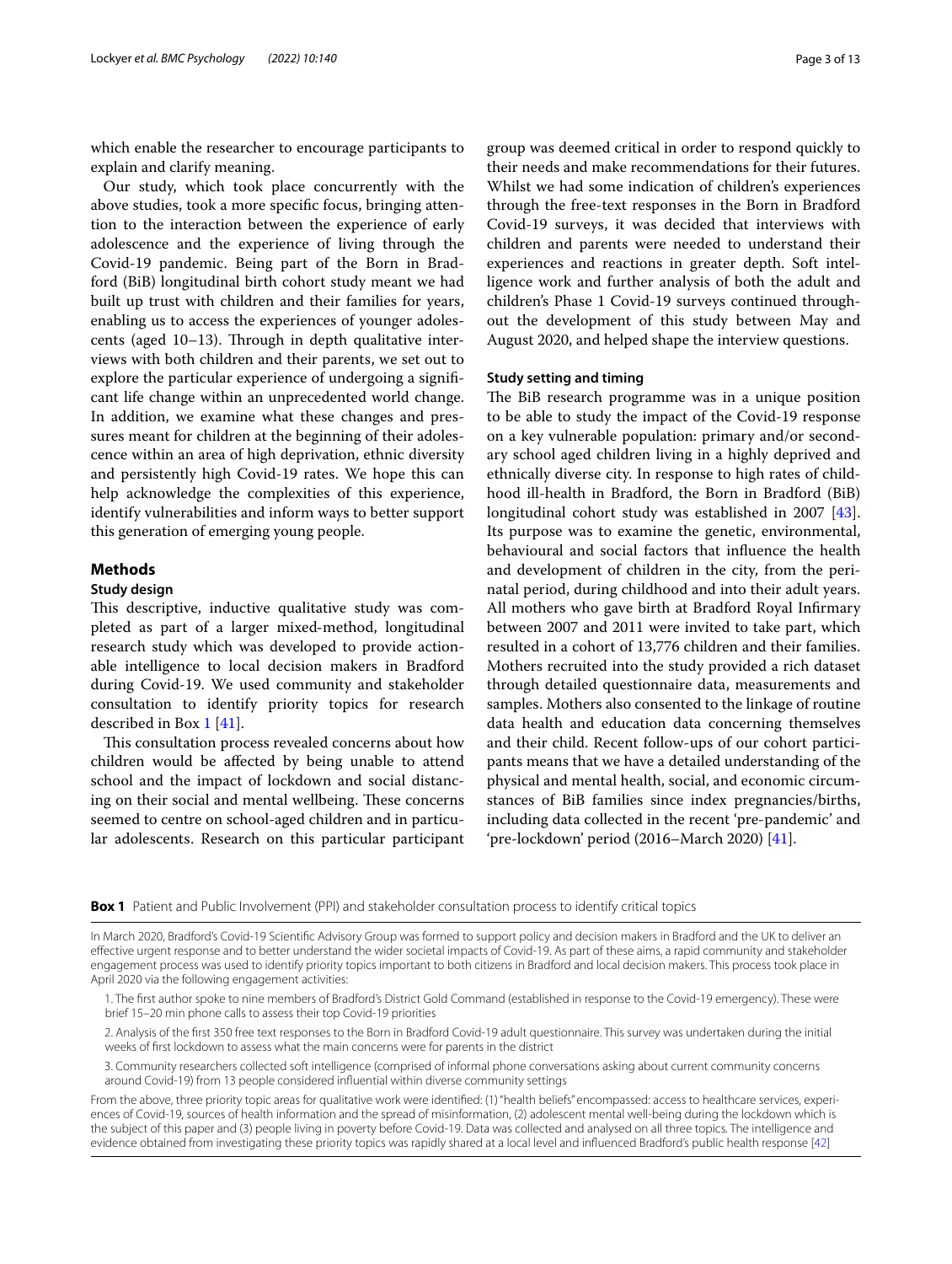which enable the researcher to encourage participants to explain and clarify meaning.

Our study, which took place concurrently with the above studies, took a more specifc focus, bringing attention to the interaction between the experience of early adolescence and the experience of living through the Covid-19 pandemic. Being part of the Born in Bradford (BiB) longitudinal birth cohort study meant we had built up trust with children and their families for years, enabling us to access the experiences of younger adolescents (aged  $10-13$ ). Through in depth qualitative interviews with both children and their parents, we set out to explore the particular experience of undergoing a signifcant life change within an unprecedented world change. In addition, we examine what these changes and pressures meant for children at the beginning of their adolescence within an area of high deprivation, ethnic diversity and persistently high Covid-19 rates. We hope this can help acknowledge the complexities of this experience, identify vulnerabilities and inform ways to better support this generation of emerging young people.

## **Methods**

## **Study design**

This descriptive, inductive qualitative study was completed as part of a larger mixed‐method, longitudinal research study which was developed to provide actionable intelligence to local decision makers in Bradford during Covid-19. We used community and stakeholder consultation to identify priority topics for research described in Box [1](#page-2-0) [[41\]](#page-11-26).

This consultation process revealed concerns about how children would be afected by being unable to attend school and the impact of lockdown and social distancing on their social and mental wellbeing. These concerns seemed to centre on school-aged children and in particular adolescents. Research on this particular participant group was deemed critical in order to respond quickly to their needs and make recommendations for their futures. Whilst we had some indication of children's experiences through the free-text responses in the Born in Bradford Covid-19 surveys, it was decided that interviews with children and parents were needed to understand their experiences and reactions in greater depth. Soft intelligence work and further analysis of both the adult and children's Phase 1 Covid-19 surveys continued throughout the development of this study between May and August 2020, and helped shape the interview questions.

## **Study setting and timing**

The BiB research programme was in a unique position to be able to study the impact of the Covid-19 response on a key vulnerable population: primary and/or secondary school aged children living in a highly deprived and ethnically diverse city. In response to high rates of childhood ill-health in Bradford, the Born in Bradford (BiB) longitudinal cohort study was established in 2007 [\[43](#page-11-27)]. Its purpose was to examine the genetic, environmental, behavioural and social factors that infuence the health and development of children in the city, from the perinatal period, during childhood and into their adult years. All mothers who gave birth at Bradford Royal Infrmary between 2007 and 2011 were invited to take part, which resulted in a cohort of 13,776 children and their families. Mothers recruited into the study provided a rich dataset through detailed questionnaire data, measurements and samples. Mothers also consented to the linkage of routine data health and education data concerning themselves and their child. Recent follow-ups of our cohort participants means that we have a detailed understanding of the physical and mental health, social, and economic circumstances of BiB families since index pregnancies/births, including data collected in the recent 'pre-pandemic' and 'pre-lockdown' period (2016–March 2020) [\[41](#page-11-26)].

<span id="page-2-0"></span>**Box 1** Patient and Public Involvement (PPI) and stakeholder consultation process to identify critical topics

In March 2020, Bradford's Covid-19 Scientifc Advisory Group was formed to support policy and decision makers in Bradford and the UK to deliver an efective urgent response and to better understand the wider societal impacts of Covid-19. As part of these aims, a rapid community and stakeholder engagement process was used to identify priority topics important to both citizens in Bradford and local decision makers. This process took place in April 2020 via the following engagement activities:

1. The frst author spoke to nine members of Bradford's District Gold Command (established in response to the Covid-19 emergency). These were brief 15–20 min phone calls to assess their top Covid-19 priorities

2. Analysis of the frst 350 free text responses to the Born in Bradford Covid-19 adult questionnaire. This survey was undertaken during the initial weeks of frst lockdown to assess what the main concerns were for parents in the district

3. Community researchers collected soft intelligence (comprised of informal phone conversations asking about current community concerns around Covid-19) from 13 people considered infuential within diverse community settings

From the above, three priority topic areas for qualitative work were identifed: (1) "health beliefs" encompassed: access to healthcare services, experiences of Covid-19, sources of health information and the spread of misinformation, (2) adolescent mental well-being during the lockdown which is the subject of this paper and (3) people living in poverty before Covid-19. Data was collected and analysed on all three topics. The intelligence and evidence obtained from investigating these priority topics was rapidly shared at a local level and infuenced Bradford's public health response [[42](#page-11-28)]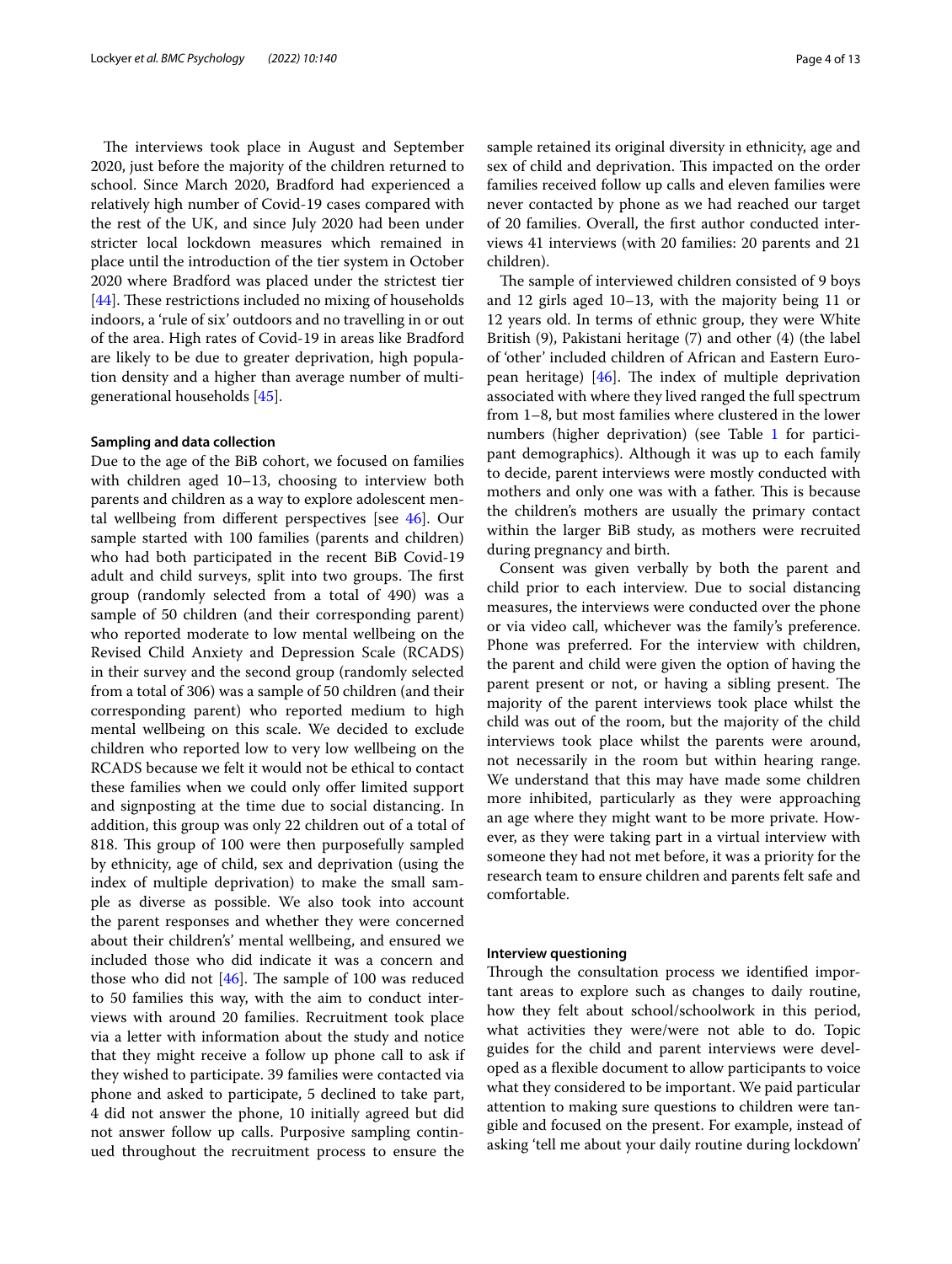The interviews took place in August and September 2020, just before the majority of the children returned to school. Since March 2020, Bradford had experienced a relatively high number of Covid-19 cases compared with the rest of the UK, and since July 2020 had been under stricter local lockdown measures which remained in place until the introduction of the tier system in October 2020 where Bradford was placed under the strictest tier  $[44]$  $[44]$ . These restrictions included no mixing of households indoors, a 'rule of six' outdoors and no travelling in or out of the area. High rates of Covid-19 in areas like Bradford are likely to be due to greater deprivation, high population density and a higher than average number of multigenerational households [[45](#page-11-30)].

## **Sampling and data collection**

Due to the age of the BiB cohort, we focused on families with children aged 10–13, choosing to interview both parents and children as a way to explore adolescent mental wellbeing from diferent perspectives [see [46\]](#page-11-31). Our sample started with 100 families (parents and children) who had both participated in the recent BiB Covid-19 adult and child surveys, split into two groups. The first group (randomly selected from a total of 490) was a sample of 50 children (and their corresponding parent) who reported moderate to low mental wellbeing on the Revised Child Anxiety and Depression Scale (RCADS) in their survey and the second group (randomly selected from a total of 306) was a sample of 50 children (and their corresponding parent) who reported medium to high mental wellbeing on this scale. We decided to exclude children who reported low to very low wellbeing on the RCADS because we felt it would not be ethical to contact these families when we could only offer limited support and signposting at the time due to social distancing. In addition, this group was only 22 children out of a total of 818. This group of 100 were then purposefully sampled by ethnicity, age of child, sex and deprivation (using the index of multiple deprivation) to make the small sample as diverse as possible. We also took into account the parent responses and whether they were concerned about their children's' mental wellbeing, and ensured we included those who did indicate it was a concern and those who did not  $[46]$  $[46]$ . The sample of 100 was reduced to 50 families this way, with the aim to conduct interviews with around 20 families. Recruitment took place via a letter with information about the study and notice that they might receive a follow up phone call to ask if they wished to participate. 39 families were contacted via phone and asked to participate, 5 declined to take part, 4 did not answer the phone, 10 initially agreed but did not answer follow up calls. Purposive sampling continued throughout the recruitment process to ensure the sample retained its original diversity in ethnicity, age and sex of child and deprivation. This impacted on the order families received follow up calls and eleven families were never contacted by phone as we had reached our target of 20 families. Overall, the frst author conducted interviews 41 interviews (with 20 families: 20 parents and 21 children).

The sample of interviewed children consisted of 9 boys and 12 girls aged 10–13, with the majority being 11 or 12 years old. In terms of ethnic group, they were White British (9), Pakistani heritage (7) and other (4) (the label of 'other' included children of African and Eastern European heritage)  $[46]$  $[46]$ . The index of multiple deprivation associated with where they lived ranged the full spectrum from 1–8, but most families where clustered in the lower numbers (higher deprivation) (see Table [1](#page-4-0) for participant demographics). Although it was up to each family to decide, parent interviews were mostly conducted with mothers and only one was with a father. This is because the children's mothers are usually the primary contact within the larger BiB study, as mothers were recruited during pregnancy and birth.

Consent was given verbally by both the parent and child prior to each interview. Due to social distancing measures, the interviews were conducted over the phone or via video call, whichever was the family's preference. Phone was preferred. For the interview with children, the parent and child were given the option of having the parent present or not, or having a sibling present. The majority of the parent interviews took place whilst the child was out of the room, but the majority of the child interviews took place whilst the parents were around, not necessarily in the room but within hearing range. We understand that this may have made some children more inhibited, particularly as they were approaching an age where they might want to be more private. However, as they were taking part in a virtual interview with someone they had not met before, it was a priority for the research team to ensure children and parents felt safe and comfortable.

## **Interview questioning**

Through the consultation process we identified important areas to explore such as changes to daily routine, how they felt about school/schoolwork in this period, what activities they were/were not able to do. Topic guides for the child and parent interviews were developed as a fexible document to allow participants to voice what they considered to be important. We paid particular attention to making sure questions to children were tangible and focused on the present. For example, instead of asking 'tell me about your daily routine during lockdown'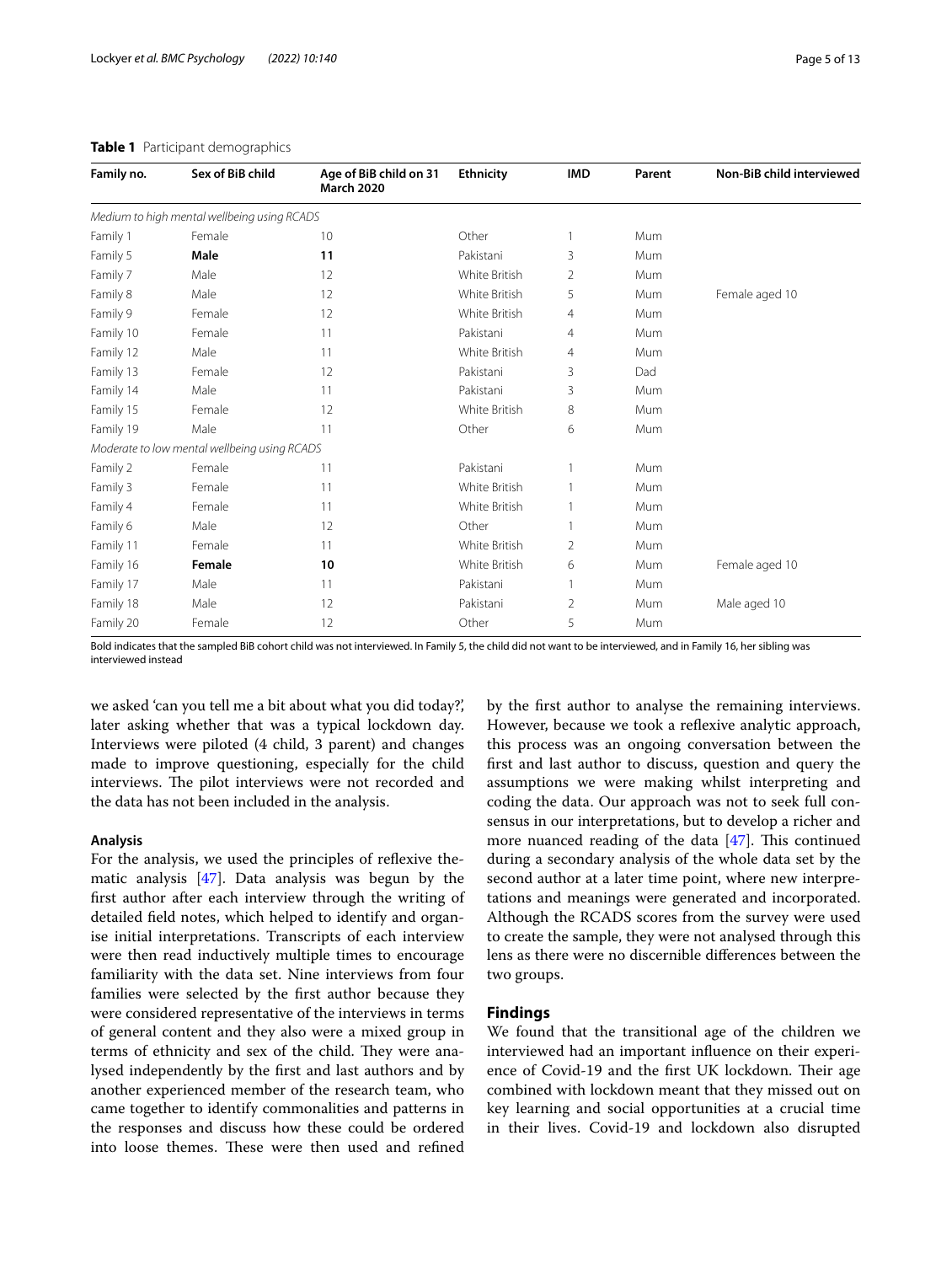| Family no. | Sex of BiB child                             | Age of BiB child on 31<br><b>March 2020</b> | <b>Ethnicity</b> | <b>IMD</b>   | Parent | Non-BiB child interviewed |
|------------|----------------------------------------------|---------------------------------------------|------------------|--------------|--------|---------------------------|
|            | Medium to high mental wellbeing using RCADS  |                                             |                  |              |        |                           |
| Family 1   | Female                                       | 10                                          | Other            | $\mathbf{1}$ | Mum    |                           |
| Family 5   | Male                                         | 11                                          | Pakistani        | 3            | Mum    |                           |
| Family 7   | Male                                         | 12                                          | White British    | 2            | Mum    |                           |
| Family 8   | Male                                         | 12                                          | White British    | 5            | Mum    | Female aged 10            |
| Family 9   | Female                                       | 12                                          | White British    | 4            | Mum    |                           |
| Family 10  | Female                                       | 11                                          | Pakistani        | 4            | Mum    |                           |
| Family 12  | Male                                         | 11                                          | White British    | 4            | Mum    |                           |
| Family 13  | Female                                       | 12                                          | Pakistani        | 3            | Dad    |                           |
| Family 14  | Male                                         | 11                                          | Pakistani        | 3            | Mum    |                           |
| Family 15  | Female                                       | 12                                          | White British    | 8            | Mum    |                           |
| Family 19  | Male                                         | 11                                          | Other            | 6            | Mum    |                           |
|            | Moderate to low mental wellbeing using RCADS |                                             |                  |              |        |                           |
| Family 2   | Female                                       | 11                                          | Pakistani        |              | Mum    |                           |
| Family 3   | Female                                       | 11                                          | White British    |              | Mum    |                           |
| Family 4   | Female                                       | 11                                          | White British    |              | Mum    |                           |
| Family 6   | Male                                         | 12                                          | Other            |              | Mum    |                           |
| Family 11  | Female                                       | 11                                          | White British    | 2            | Mum    |                           |
| Family 16  | Female                                       | 10                                          | White British    | 6            | Mum    | Female aged 10            |
| Family 17  | Male                                         | 11                                          | Pakistani        |              | Mum    |                           |
| Family 18  | Male                                         | 12                                          | Pakistani        | 2            | Mum    | Male aged 10              |
| Family 20  | Female                                       | 12                                          | Other            | 5            | Mum    |                           |

#### <span id="page-4-0"></span>**Table 1** Participant demographics

Bold indicates that the sampled BiB cohort child was not interviewed. In Family 5, the child did not want to be interviewed, and in Family 16, her sibling was interviewed instead

we asked 'can you tell me a bit about what you did today?', later asking whether that was a typical lockdown day. Interviews were piloted (4 child, 3 parent) and changes made to improve questioning, especially for the child interviews. The pilot interviews were not recorded and the data has not been included in the analysis.

#### **Analysis**

For the analysis, we used the principles of reflexive thematic analysis [\[47\]](#page-12-0). Data analysis was begun by the frst author after each interview through the writing of detailed feld notes, which helped to identify and organise initial interpretations. Transcripts of each interview were then read inductively multiple times to encourage familiarity with the data set. Nine interviews from four families were selected by the frst author because they were considered representative of the interviews in terms of general content and they also were a mixed group in terms of ethnicity and sex of the child. They were analysed independently by the frst and last authors and by another experienced member of the research team, who came together to identify commonalities and patterns in the responses and discuss how these could be ordered into loose themes. These were then used and refined by the frst author to analyse the remaining interviews. However, because we took a refexive analytic approach, this process was an ongoing conversation between the frst and last author to discuss, question and query the assumptions we were making whilst interpreting and coding the data. Our approach was not to seek full consensus in our interpretations, but to develop a richer and more nuanced reading of the data  $[47]$  $[47]$ . This continued during a secondary analysis of the whole data set by the second author at a later time point, where new interpretations and meanings were generated and incorporated. Although the RCADS scores from the survey were used to create the sample, they were not analysed through this lens as there were no discernible diferences between the two groups.

## **Findings**

We found that the transitional age of the children we interviewed had an important infuence on their experience of Covid-19 and the first UK lockdown. Their age combined with lockdown meant that they missed out on key learning and social opportunities at a crucial time in their lives. Covid-19 and lockdown also disrupted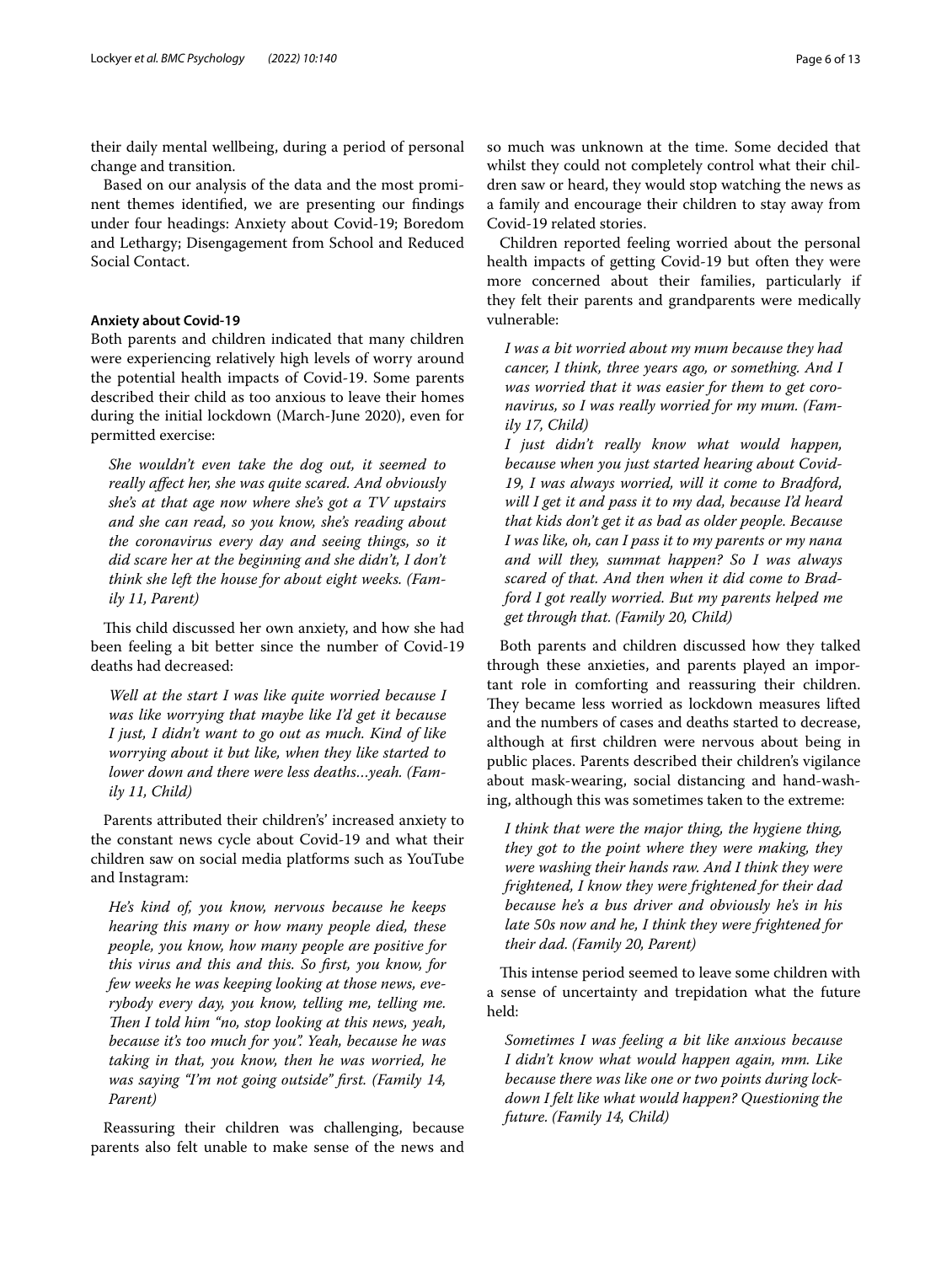their daily mental wellbeing, during a period of personal change and transition.

Based on our analysis of the data and the most prominent themes identifed, we are presenting our fndings under four headings: Anxiety about Covid-19; Boredom and Lethargy; Disengagement from School and Reduced Social Contact.

## **Anxiety about Covid-19**

Both parents and children indicated that many children were experiencing relatively high levels of worry around the potential health impacts of Covid-19. Some parents described their child as too anxious to leave their homes during the initial lockdown (March-June 2020), even for permitted exercise:

*She wouldn't even take the dog out, it seemed to really afect her, she was quite scared. And obviously she's at that age now where she's got a TV upstairs and she can read, so you know, she's reading about the coronavirus every day and seeing things, so it did scare her at the beginning and she didn't, I don't think she left the house for about eight weeks. (Family 11, Parent)*

This child discussed her own anxiety, and how she had been feeling a bit better since the number of Covid-19 deaths had decreased:

*Well at the start I was like quite worried because I was like worrying that maybe like I'd get it because I just, I didn't want to go out as much. Kind of like worrying about it but like, when they like started to lower down and there were less deaths…yeah. (Family 11, Child)*

Parents attributed their children's' increased anxiety to the constant news cycle about Covid-19 and what their children saw on social media platforms such as YouTube and Instagram:

*He's kind of, you know, nervous because he keeps hearing this many or how many people died, these people, you know, how many people are positive for this virus and this and this. So frst, you know, for few weeks he was keeping looking at those news, everybody every day, you know, telling me, telling me. Then I told him "no, stop looking at this news, yeah, because it's too much for you". Yeah, because he was taking in that, you know, then he was worried, he was saying "I'm not going outside" frst. (Family 14, Parent)*

Reassuring their children was challenging, because parents also felt unable to make sense of the news and so much was unknown at the time. Some decided that whilst they could not completely control what their children saw or heard, they would stop watching the news as a family and encourage their children to stay away from Covid-19 related stories.

Children reported feeling worried about the personal health impacts of getting Covid-19 but often they were more concerned about their families, particularly if they felt their parents and grandparents were medically vulnerable:

*I was a bit worried about my mum because they had cancer, I think, three years ago, or something. And I was worried that it was easier for them to get coronavirus, so I was really worried for my mum. (Family 17, Child)*

*I just didn't really know what would happen, because when you just started hearing about Covid-19, I was always worried, will it come to Bradford, will I get it and pass it to my dad, because I'd heard that kids don't get it as bad as older people. Because I was like, oh, can I pass it to my parents or my nana and will they, summat happen? So I was always scared of that. And then when it did come to Bradford I got really worried. But my parents helped me get through that. (Family 20, Child)*

Both parents and children discussed how they talked through these anxieties, and parents played an important role in comforting and reassuring their children. They became less worried as lockdown measures lifted and the numbers of cases and deaths started to decrease, although at frst children were nervous about being in public places. Parents described their children's vigilance about mask-wearing, social distancing and hand-washing, although this was sometimes taken to the extreme:

*I think that were the major thing, the hygiene thing, they got to the point where they were making, they were washing their hands raw. And I think they were frightened, I know they were frightened for their dad because he's a bus driver and obviously he's in his late 50s now and he, I think they were frightened for their dad. (Family 20, Parent)*

This intense period seemed to leave some children with a sense of uncertainty and trepidation what the future held:

*Sometimes I was feeling a bit like anxious because I didn't know what would happen again, mm. Like because there was like one or two points during lockdown I felt like what would happen? Questioning the future. (Family 14, Child)*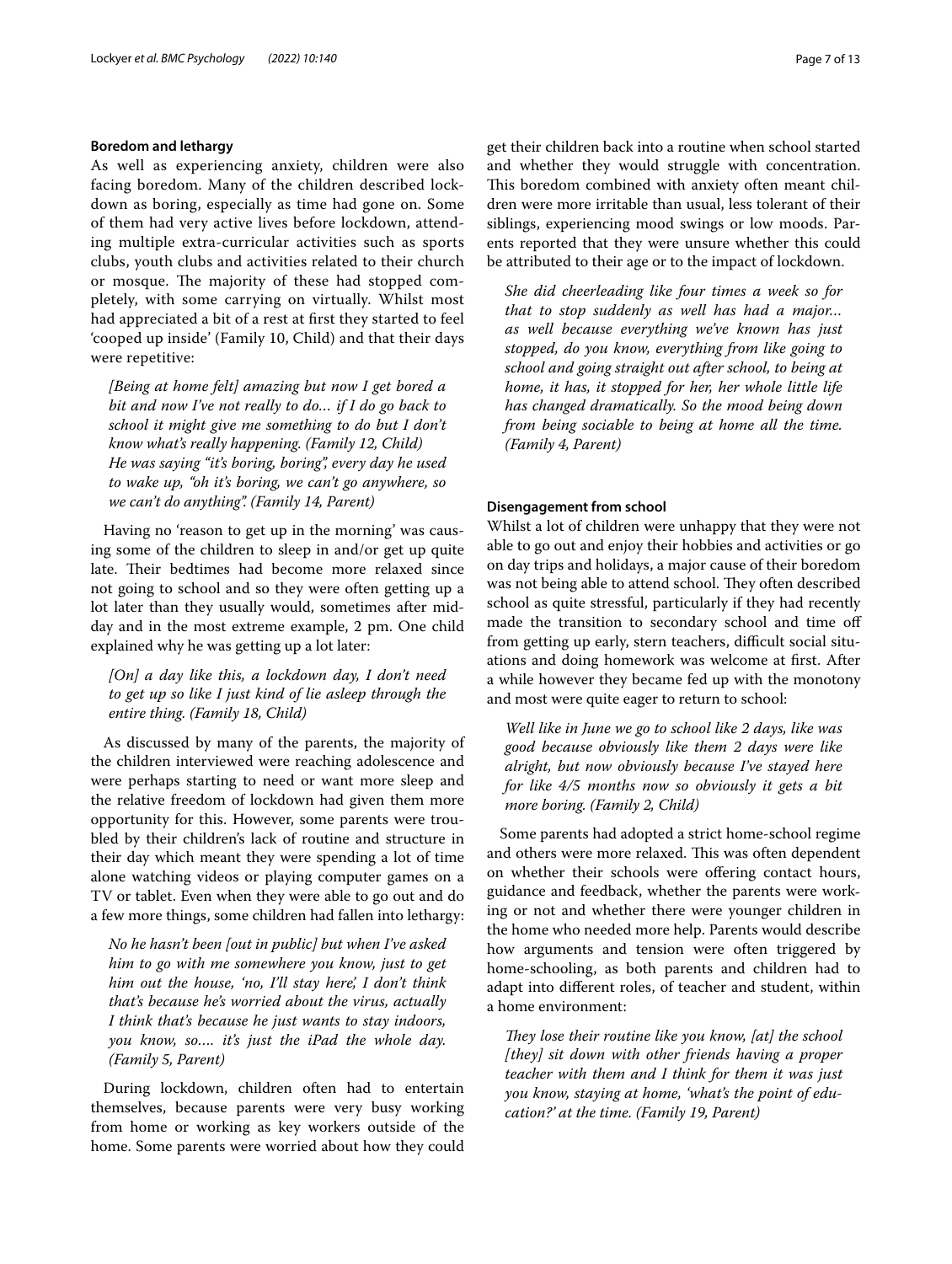#### **Boredom and lethargy**

As well as experiencing anxiety, children were also facing boredom. Many of the children described lockdown as boring, especially as time had gone on. Some of them had very active lives before lockdown, attending multiple extra-curricular activities such as sports clubs, youth clubs and activities related to their church or mosque. The majority of these had stopped completely, with some carrying on virtually. Whilst most had appreciated a bit of a rest at frst they started to feel 'cooped up inside' (Family 10, Child) and that their days were repetitive:

*[Being at home felt] amazing but now I get bored a bit and now I've not really to do… if I do go back to school it might give me something to do but I don't know what's really happening. (Family 12, Child) He was saying "it's boring, boring", every day he used to wake up, "oh it's boring, we can't go anywhere, so we can't do anything". (Family 14, Parent)*

Having no 'reason to get up in the morning' was causing some of the children to sleep in and/or get up quite late. Their bedtimes had become more relaxed since not going to school and so they were often getting up a lot later than they usually would, sometimes after midday and in the most extreme example, 2 pm. One child explained why he was getting up a lot later:

## *[On] a day like this, a lockdown day, I don't need to get up so like I just kind of lie asleep through the entire thing. (Family 18, Child)*

As discussed by many of the parents, the majority of the children interviewed were reaching adolescence and were perhaps starting to need or want more sleep and the relative freedom of lockdown had given them more opportunity for this. However, some parents were troubled by their children's lack of routine and structure in their day which meant they were spending a lot of time alone watching videos or playing computer games on a TV or tablet. Even when they were able to go out and do a few more things, some children had fallen into lethargy:

*No he hasn't been [out in public] but when I've asked him to go with me somewhere you know, just to get him out the house, 'no, I'll stay here', I don't think that's because he's worried about the virus, actually I think that's because he just wants to stay indoors, you know, so…. it's just the iPad the whole day. (Family 5, Parent)*

During lockdown, children often had to entertain themselves, because parents were very busy working from home or working as key workers outside of the home. Some parents were worried about how they could get their children back into a routine when school started and whether they would struggle with concentration. This boredom combined with anxiety often meant children were more irritable than usual, less tolerant of their siblings, experiencing mood swings or low moods. Parents reported that they were unsure whether this could be attributed to their age or to the impact of lockdown.

*She did cheerleading like four times a week so for that to stop suddenly as well has had a major… as well because everything we've known has just stopped, do you know, everything from like going to school and going straight out after school, to being at home, it has, it stopped for her, her whole little life has changed dramatically. So the mood being down from being sociable to being at home all the time. (Family 4, Parent)*

#### **Disengagement from school**

Whilst a lot of children were unhappy that they were not able to go out and enjoy their hobbies and activities or go on day trips and holidays, a major cause of their boredom was not being able to attend school. They often described school as quite stressful, particularly if they had recently made the transition to secondary school and time of from getting up early, stern teachers, difficult social situations and doing homework was welcome at frst. After a while however they became fed up with the monotony and most were quite eager to return to school:

*Well like in June we go to school like 2 days, like was good because obviously like them 2 days were like alright, but now obviously because I've stayed here for like 4/5 months now so obviously it gets a bit more boring. (Family 2, Child)*

Some parents had adopted a strict home-school regime and others were more relaxed. This was often dependent on whether their schools were ofering contact hours, guidance and feedback, whether the parents were working or not and whether there were younger children in the home who needed more help. Parents would describe how arguments and tension were often triggered by home-schooling, as both parents and children had to adapt into diferent roles, of teacher and student, within a home environment:

They lose their routine like you know, [at] the school *[they] sit down with other friends having a proper teacher with them and I think for them it was just you know, staying at home, 'what's the point of education?' at the time. (Family 19, Parent)*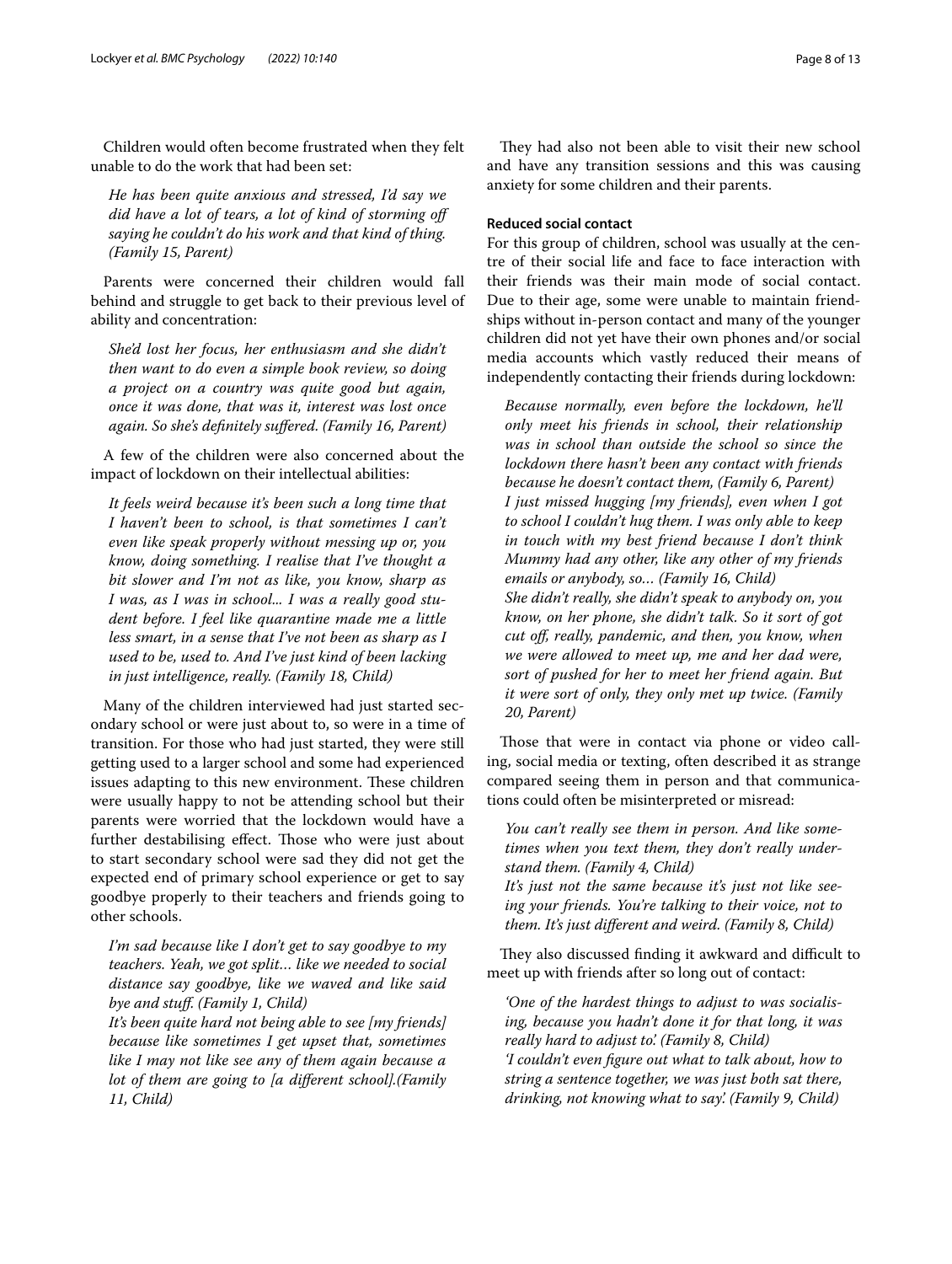Children would often become frustrated when they felt unable to do the work that had been set:

*He has been quite anxious and stressed, I'd say we did have a lot of tears, a lot of kind of storming of saying he couldn't do his work and that kind of thing. (Family 15, Parent)*

Parents were concerned their children would fall behind and struggle to get back to their previous level of ability and concentration:

*She'd lost her focus, her enthusiasm and she didn't then want to do even a simple book review, so doing a project on a country was quite good but again, once it was done, that was it, interest was lost once again. So she's defnitely sufered. (Family 16, Parent)*

A few of the children were also concerned about the impact of lockdown on their intellectual abilities:

*It feels weird because it's been such a long time that I haven't been to school, is that sometimes I can't even like speak properly without messing up or, you know, doing something. I realise that I've thought a bit slower and I'm not as like, you know, sharp as I was, as I was in school... I was a really good student before. I feel like quarantine made me a little less smart, in a sense that I've not been as sharp as I used to be, used to. And I've just kind of been lacking in just intelligence, really. (Family 18, Child)*

Many of the children interviewed had just started secondary school or were just about to, so were in a time of transition. For those who had just started, they were still getting used to a larger school and some had experienced issues adapting to this new environment. These children were usually happy to not be attending school but their parents were worried that the lockdown would have a further destabilising effect. Those who were just about to start secondary school were sad they did not get the expected end of primary school experience or get to say goodbye properly to their teachers and friends going to other schools.

*I'm sad because like I don't get to say goodbye to my teachers. Yeah, we got split… like we needed to social distance say goodbye, like we waved and like said bye and stuf. (Family 1, Child)*

*It's been quite hard not being able to see [my friends] because like sometimes I get upset that, sometimes like I may not like see any of them again because a lot of them are going to [a diferent school].(Family 11, Child)*

They had also not been able to visit their new school and have any transition sessions and this was causing anxiety for some children and their parents.

## **Reduced social contact**

For this group of children, school was usually at the centre of their social life and face to face interaction with their friends was their main mode of social contact. Due to their age, some were unable to maintain friendships without in-person contact and many of the younger children did not yet have their own phones and/or social media accounts which vastly reduced their means of independently contacting their friends during lockdown:

*Because normally, even before the lockdown, he'll only meet his friends in school, their relationship was in school than outside the school so since the lockdown there hasn't been any contact with friends because he doesn't contact them, (Family 6, Parent) I just missed hugging [my friends], even when I got to school I couldn't hug them. I was only able to keep in touch with my best friend because I don't think Mummy had any other, like any other of my friends emails or anybody, so… (Family 16, Child) She didn't really, she didn't speak to anybody on, you know, on her phone, she didn't talk. So it sort of got cut of, really, pandemic, and then, you know, when we were allowed to meet up, me and her dad were, sort of pushed for her to meet her friend again. But it were sort of only, they only met up twice. (Family 20, Parent)*

Those that were in contact via phone or video calling, social media or texting, often described it as strange compared seeing them in person and that communications could often be misinterpreted or misread:

*You can't really see them in person. And like sometimes when you text them, they don't really understand them. (Family 4, Child)*

*It's just not the same because it's just not like seeing your friends. You're talking to their voice, not to them. It's just diferent and weird. (Family 8, Child)*

They also discussed finding it awkward and difficult to meet up with friends after so long out of contact:

*'One of the hardest things to adjust to was socialising, because you hadn't done it for that long, it was really hard to adjust to'. (Family 8, Child) 'I couldn't even fgure out what to talk about, how to string a sentence together, we was just both sat there, drinking, not knowing what to say'. (Family 9, Child)*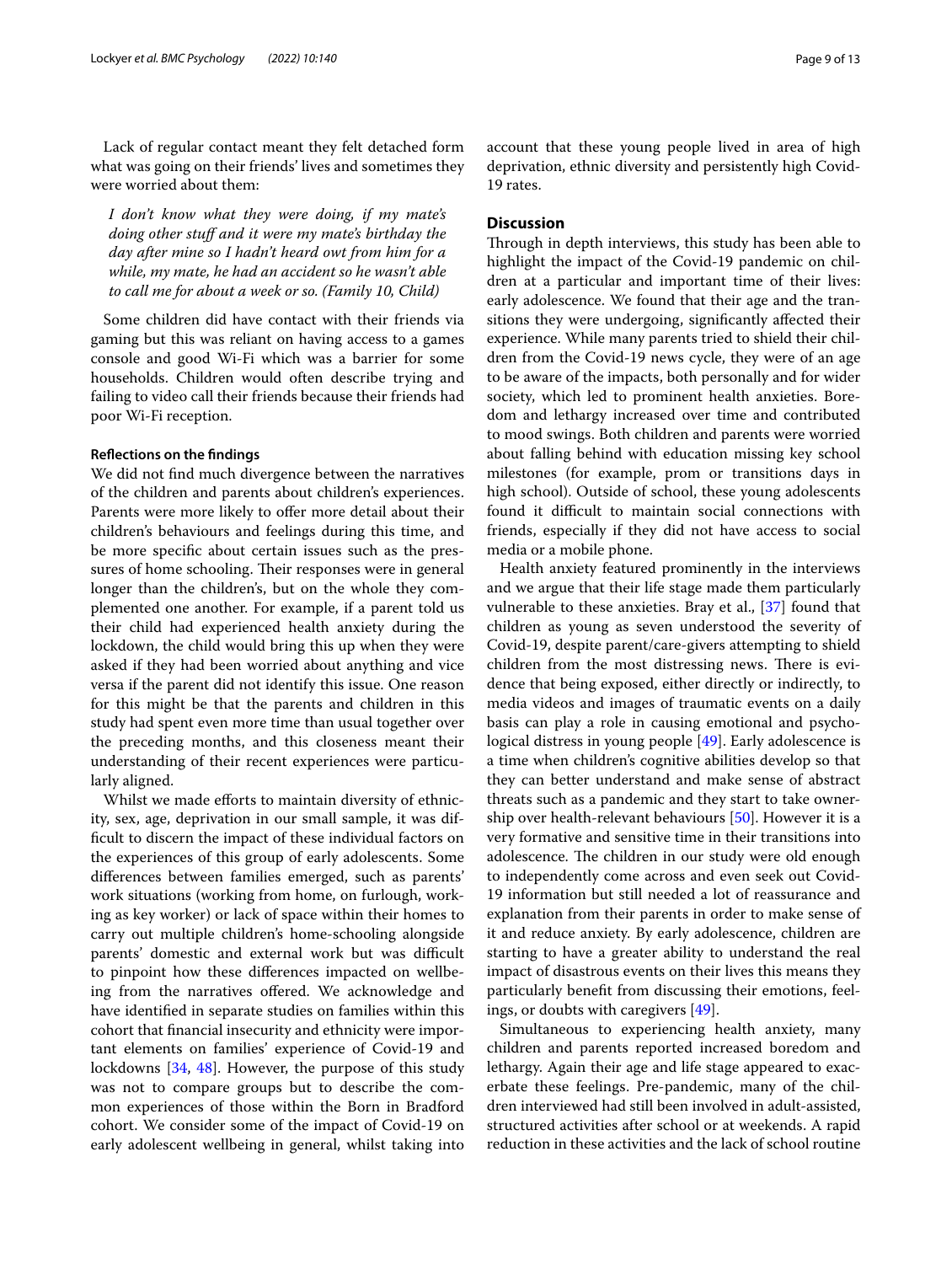Lack of regular contact meant they felt detached form what was going on their friends' lives and sometimes they were worried about them:

*I don't know what they were doing, if my mate's doing other stuf and it were my mate's birthday the day after mine so I hadn't heard owt from him for a while, my mate, he had an accident so he wasn't able to call me for about a week or so. (Family 10, Child)*

Some children did have contact with their friends via gaming but this was reliant on having access to a games console and good Wi-Fi which was a barrier for some households. Children would often describe trying and failing to video call their friends because their friends had poor Wi-Fi reception.

#### **Refections on the fndings**

We did not fnd much divergence between the narratives of the children and parents about children's experiences. Parents were more likely to offer more detail about their children's behaviours and feelings during this time, and be more specifc about certain issues such as the pressures of home schooling. Their responses were in general longer than the children's, but on the whole they complemented one another. For example, if a parent told us their child had experienced health anxiety during the lockdown, the child would bring this up when they were asked if they had been worried about anything and vice versa if the parent did not identify this issue. One reason for this might be that the parents and children in this study had spent even more time than usual together over the preceding months, and this closeness meant their understanding of their recent experiences were particularly aligned.

Whilst we made efforts to maintain diversity of ethnicity, sex, age, deprivation in our small sample, it was diffcult to discern the impact of these individual factors on the experiences of this group of early adolescents. Some diferences between families emerged, such as parents' work situations (working from home, on furlough, working as key worker) or lack of space within their homes to carry out multiple children's home-schooling alongside parents' domestic and external work but was difficult to pinpoint how these diferences impacted on wellbeing from the narratives offered. We acknowledge and have identifed in separate studies on families within this cohort that fnancial insecurity and ethnicity were important elements on families' experience of Covid-19 and lockdowns [\[34](#page-11-19), [48\]](#page-12-1). However, the purpose of this study was not to compare groups but to describe the common experiences of those within the Born in Bradford cohort. We consider some of the impact of Covid-19 on early adolescent wellbeing in general, whilst taking into account that these young people lived in area of high deprivation, ethnic diversity and persistently high Covid-19 rates.

## **Discussion**

Through in depth interviews, this study has been able to highlight the impact of the Covid-19 pandemic on children at a particular and important time of their lives: early adolescence. We found that their age and the transitions they were undergoing, signifcantly afected their experience. While many parents tried to shield their children from the Covid-19 news cycle, they were of an age to be aware of the impacts, both personally and for wider society, which led to prominent health anxieties. Boredom and lethargy increased over time and contributed to mood swings. Both children and parents were worried about falling behind with education missing key school milestones (for example, prom or transitions days in high school). Outside of school, these young adolescents found it difficult to maintain social connections with friends, especially if they did not have access to social media or a mobile phone.

Health anxiety featured prominently in the interviews and we argue that their life stage made them particularly vulnerable to these anxieties. Bray et al., [[37\]](#page-11-22) found that children as young as seven understood the severity of Covid-19, despite parent/care-givers attempting to shield children from the most distressing news. There is evidence that being exposed, either directly or indirectly, to media videos and images of traumatic events on a daily basis can play a role in causing emotional and psychological distress in young people [\[49](#page-12-2)]. Early adolescence is a time when children's cognitive abilities develop so that they can better understand and make sense of abstract threats such as a pandemic and they start to take ownership over health-relevant behaviours [[50](#page-12-3)]. However it is a very formative and sensitive time in their transitions into adolescence. The children in our study were old enough to independently come across and even seek out Covid-19 information but still needed a lot of reassurance and explanation from their parents in order to make sense of it and reduce anxiety. By early adolescence, children are starting to have a greater ability to understand the real impact of disastrous events on their lives this means they particularly beneft from discussing their emotions, feelings, or doubts with caregivers [[49\]](#page-12-2).

Simultaneous to experiencing health anxiety, many children and parents reported increased boredom and lethargy. Again their age and life stage appeared to exacerbate these feelings. Pre-pandemic, many of the children interviewed had still been involved in adult-assisted, structured activities after school or at weekends. A rapid reduction in these activities and the lack of school routine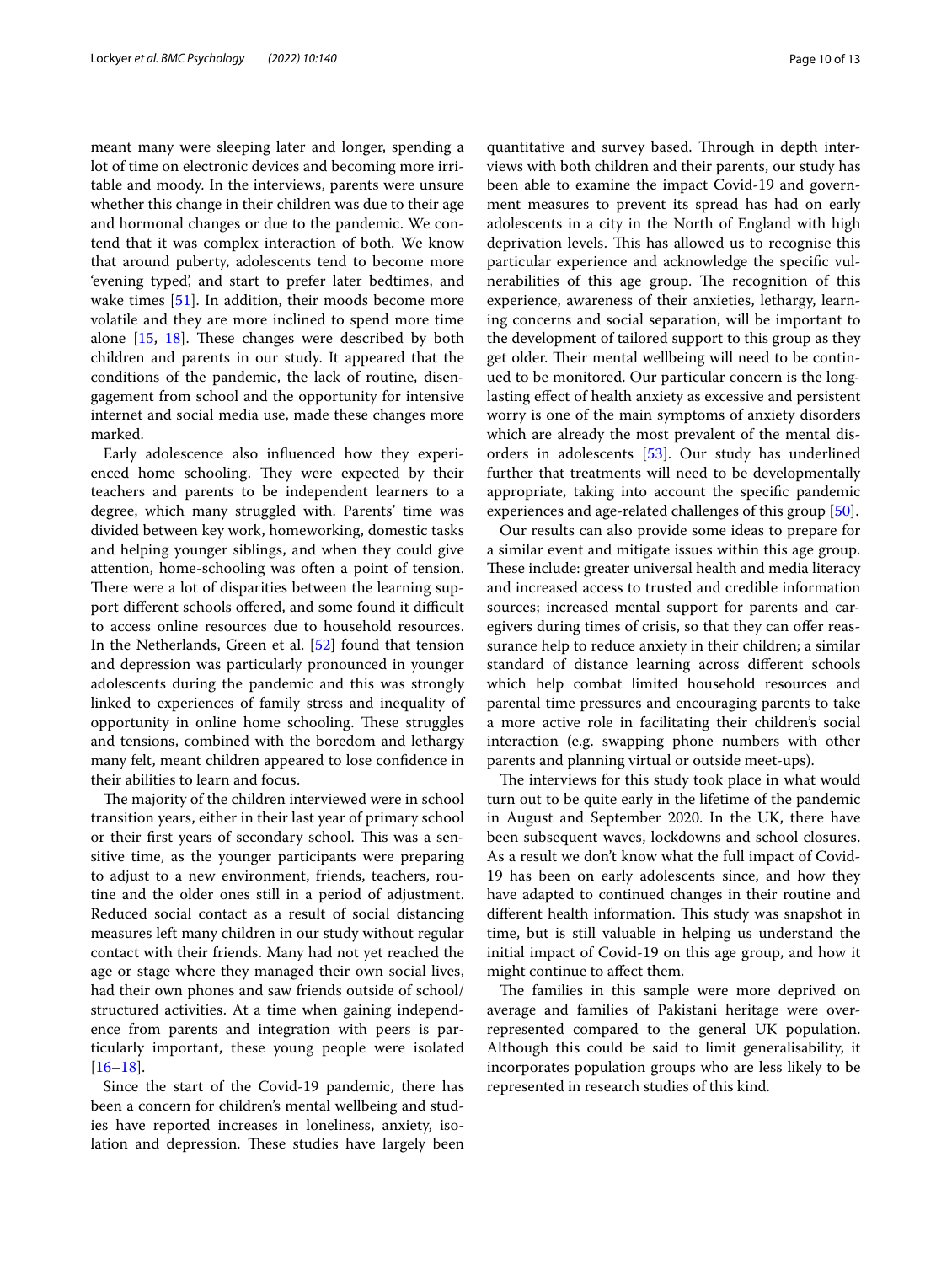meant many were sleeping later and longer, spending a lot of time on electronic devices and becoming more irritable and moody. In the interviews, parents were unsure whether this change in their children was due to their age and hormonal changes or due to the pandemic. We contend that it was complex interaction of both. We know that around puberty, adolescents tend to become more 'evening typed', and start to prefer later bedtimes, and wake times [[51](#page-12-4)]. In addition, their moods become more volatile and they are more inclined to spend more time alone  $[15, 18]$  $[15, 18]$  $[15, 18]$  $[15, 18]$  $[15, 18]$ . These changes were described by both children and parents in our study. It appeared that the conditions of the pandemic, the lack of routine, disengagement from school and the opportunity for intensive internet and social media use, made these changes more marked.

Early adolescence also infuenced how they experienced home schooling. They were expected by their teachers and parents to be independent learners to a degree, which many struggled with. Parents' time was divided between key work, homeworking, domestic tasks and helping younger siblings, and when they could give attention, home-schooling was often a point of tension. There were a lot of disparities between the learning support different schools offered, and some found it difficult to access online resources due to household resources. In the Netherlands, Green et al. [\[52\]](#page-12-5) found that tension and depression was particularly pronounced in younger adolescents during the pandemic and this was strongly linked to experiences of family stress and inequality of opportunity in online home schooling. These struggles and tensions, combined with the boredom and lethargy many felt, meant children appeared to lose confdence in their abilities to learn and focus.

The majority of the children interviewed were in school transition years, either in their last year of primary school or their first years of secondary school. This was a sensitive time, as the younger participants were preparing to adjust to a new environment, friends, teachers, routine and the older ones still in a period of adjustment. Reduced social contact as a result of social distancing measures left many children in our study without regular contact with their friends. Many had not yet reached the age or stage where they managed their own social lives, had their own phones and saw friends outside of school/ structured activities. At a time when gaining independence from parents and integration with peers is particularly important, these young people were isolated  $[16–18]$  $[16–18]$  $[16–18]$  $[16–18]$ .

Since the start of the Covid-19 pandemic, there has been a concern for children's mental wellbeing and studies have reported increases in loneliness, anxiety, isolation and depression. These studies have largely been quantitative and survey based. Through in depth interviews with both children and their parents, our study has been able to examine the impact Covid-19 and government measures to prevent its spread has had on early adolescents in a city in the North of England with high deprivation levels. This has allowed us to recognise this particular experience and acknowledge the specifc vulnerabilities of this age group. The recognition of this experience, awareness of their anxieties, lethargy, learning concerns and social separation, will be important to the development of tailored support to this group as they get older. Their mental wellbeing will need to be continued to be monitored. Our particular concern is the longlasting efect of health anxiety as excessive and persistent worry is one of the main symptoms of anxiety disorders which are already the most prevalent of the mental disorders in adolescents [[53\]](#page-12-6). Our study has underlined further that treatments will need to be developmentally appropriate, taking into account the specifc pandemic experiences and age-related challenges of this group [\[50](#page-12-3)].

Our results can also provide some ideas to prepare for a similar event and mitigate issues within this age group. These include: greater universal health and media literacy and increased access to trusted and credible information sources; increased mental support for parents and caregivers during times of crisis, so that they can offer reassurance help to reduce anxiety in their children; a similar standard of distance learning across diferent schools which help combat limited household resources and parental time pressures and encouraging parents to take a more active role in facilitating their children's social interaction (e.g. swapping phone numbers with other parents and planning virtual or outside meet-ups).

The interviews for this study took place in what would turn out to be quite early in the lifetime of the pandemic in August and September 2020. In the UK, there have been subsequent waves, lockdowns and school closures. As a result we don't know what the full impact of Covid-19 has been on early adolescents since, and how they have adapted to continued changes in their routine and different health information. This study was snapshot in time, but is still valuable in helping us understand the initial impact of Covid-19 on this age group, and how it might continue to afect them.

The families in this sample were more deprived on average and families of Pakistani heritage were overrepresented compared to the general UK population. Although this could be said to limit generalisability, it incorporates population groups who are less likely to be represented in research studies of this kind.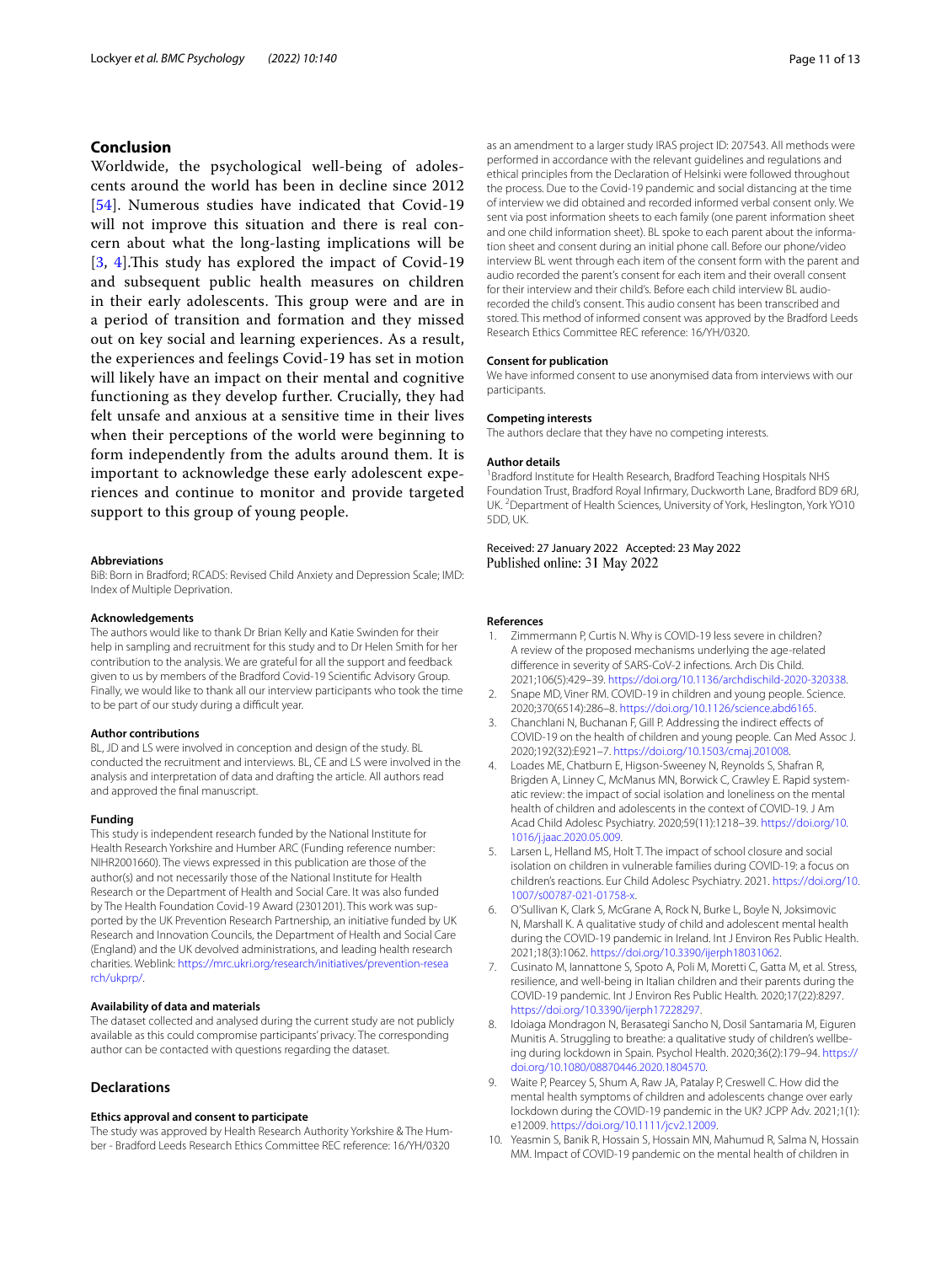## **Conclusion**

Worldwide, the psychological well-being of adolescents around the world has been in decline since 2012 [[54](#page-12-7)]. Numerous studies have indicated that Covid-19 will not improve this situation and there is real concern about what the long-lasting implications will be [[3](#page-10-2), [4](#page-10-3)].This study has explored the impact of Covid-19 and subsequent public health measures on children in their early adolescents. This group were and are in a period of transition and formation and they missed out on key social and learning experiences. As a result, the experiences and feelings Covid-19 has set in motion will likely have an impact on their mental and cognitive functioning as they develop further. Crucially, they had felt unsafe and anxious at a sensitive time in their lives when their perceptions of the world were beginning to form independently from the adults around them. It is important to acknowledge these early adolescent experiences and continue to monitor and provide targeted support to this group of young people.

#### **Abbreviations**

BiB: Born in Bradford; RCADS: Revised Child Anxiety and Depression Scale; IMD: Index of Multiple Deprivation.

#### **Acknowledgements**

The authors would like to thank Dr Brian Kelly and Katie Swinden for their help in sampling and recruitment for this study and to Dr Helen Smith for her contribution to the analysis. We are grateful for all the support and feedback given to us by members of the Bradford Covid-19 Scientifc Advisory Group. Finally, we would like to thank all our interview participants who took the time to be part of our study during a difficult year.

#### **Author contributions**

BL, JD and LS were involved in conception and design of the study. BL conducted the recruitment and interviews. BL, CE and LS were involved in the analysis and interpretation of data and drafting the article. All authors read and approved the fnal manuscript.

#### **Funding**

This study is independent research funded by the National Institute for Health Research Yorkshire and Humber ARC (Funding reference number: NIHR2001660). The views expressed in this publication are those of the author(s) and not necessarily those of the National Institute for Health Research or the Department of Health and Social Care. It was also funded by The Health Foundation Covid-19 Award (2301201). This work was supported by the UK Prevention Research Partnership, an initiative funded by UK Research and Innovation Councils, the Department of Health and Social Care (England) and the UK devolved administrations, and leading health research charities. Weblink: [https://mrc.ukri.org/research/initiatives/prevention-resea](https://mrc.ukri.org/research/initiatives/prevention-research/ukprp/) [rch/ukprp/](https://mrc.ukri.org/research/initiatives/prevention-research/ukprp/).

#### **Availability of data and materials**

The dataset collected and analysed during the current study are not publicly available as this could compromise participants' privacy. The corresponding author can be contacted with questions regarding the dataset.

## **Declarations**

#### **Ethics approval and consent to participate**

The study was approved by Health Research Authority Yorkshire & The Humber - Bradford Leeds Research Ethics Committee REC reference: 16/YH/0320

as an amendment to a larger study IRAS project ID: 207543. All methods were performed in accordance with the relevant guidelines and regulations and ethical principles from the Declaration of Helsinki were followed throughout the process. Due to the Covid-19 pandemic and social distancing at the time of interview we did obtained and recorded informed verbal consent only. We sent via post information sheets to each family (one parent information sheet and one child information sheet). BL spoke to each parent about the information sheet and consent during an initial phone call. Before our phone/video interview BL went through each item of the consent form with the parent and audio recorded the parent's consent for each item and their overall consent for their interview and their child's. Before each child interview BL audiorecorded the child's consent. This audio consent has been transcribed and stored. This method of informed consent was approved by the Bradford Leeds Research Ethics Committee REC reference: 16/YH/0320.

#### **Consent for publication**

We have informed consent to use anonymised data from interviews with our participants.

#### **Competing interests**

The authors declare that they have no competing interests.

#### **Author details**

<sup>1</sup> Bradford Institute for Health Research, Bradford Teaching Hospitals NHS Foundation Trust, Bradford Royal Infrmary, Duckworth Lane, Bradford BD9 6RJ, UK. <sup>2</sup> Department of Health Sciences, University of York, Heslington, York YO10 5DD, UK.

#### Received: 27 January 2022 Accepted: 23 May 2022 Published online: 31 May 2022

#### **References**

- <span id="page-10-0"></span>Zimmermann P, Curtis N. Why is COVID-19 less severe in children? A review of the proposed mechanisms underlying the age-related diference in severity of SARS-CoV-2 infections. Arch Dis Child. 2021;106(5):429–39. <https://doi.org/10.1136/archdischild-2020-320338>.
- <span id="page-10-1"></span>2. Snape MD, Viner RM. COVID-19 in children and young people. Science. 2020;370(6514):286–8. [https://doi.org/10.1126/science.abd6165.](https://doi.org/10.1126/science.abd6165)
- <span id="page-10-2"></span>3. Chanchlani N, Buchanan F, Gill P. Addressing the indirect efects of COVID-19 on the health of children and young people. Can Med Assoc J. 2020;192(32):E921–7. [https://doi.org/10.1503/cmaj.201008.](https://doi.org/10.1503/cmaj.201008)
- <span id="page-10-3"></span>4. Loades ME, Chatburn E, Higson-Sweeney N, Reynolds S, Shafran R, Brigden A, Linney C, McManus MN, Borwick C, Crawley E. Rapid systematic review: the impact of social isolation and loneliness on the mental health of children and adolescents in the context of COVID-19. J Am Acad Child Adolesc Psychiatry. 2020;59(11):1218–39. [https://doi.org/10.](https://doi.org/10.1016/j.jaac.2020.05.009) [1016/j.jaac.2020.05.009](https://doi.org/10.1016/j.jaac.2020.05.009).
- <span id="page-10-4"></span>5. Larsen L, Helland MS, Holt T. The impact of school closure and social isolation on children in vulnerable families during COVID-19: a focus on children's reactions. Eur Child Adolesc Psychiatry. 2021. [https://doi.org/10.](https://doi.org/10.1007/s00787-021-01758-x) [1007/s00787-021-01758-x](https://doi.org/10.1007/s00787-021-01758-x).
- <span id="page-10-5"></span>6. O'Sullivan K, Clark S, McGrane A, Rock N, Burke L, Boyle N, Joksimovic N, Marshall K. A qualitative study of child and adolescent mental health during the COVID-19 pandemic in Ireland. Int J Environ Res Public Health. 2021;18(3):1062. [https://doi.org/10.3390/ijerph18031062.](https://doi.org/10.3390/ijerph18031062)
- <span id="page-10-6"></span>7. Cusinato M, Iannattone S, Spoto A, Poli M, Moretti C, Gatta M, et al. Stress, resilience, and well-being in Italian children and their parents during the COVID-19 pandemic. Int J Environ Res Public Health. 2020;17(22):8297. <https://doi.org/10.3390/ijerph17228297>.
- <span id="page-10-8"></span>8. Idoiaga Mondragon N, Berasategi Sancho N, Dosil Santamaria M, Eiguren Munitis A. Struggling to breathe: a qualitative study of children's wellbeing during lockdown in Spain. Psychol Health. 2020;36(2):179–94. [https://](https://doi.org/10.1080/08870446.2020.1804570) [doi.org/10.1080/08870446.2020.1804570.](https://doi.org/10.1080/08870446.2020.1804570)
- <span id="page-10-7"></span>9. Waite P, Pearcey S, Shum A, Raw JA, Patalay P, Creswell C. How did the mental health symptoms of children and adolescents change over early lockdown during the COVID-19 pandemic in the UK? JCPP Adv. 2021;1(1): e12009. <https://doi.org/10.1111/jcv2.12009>.
- 10. Yeasmin S, Banik R, Hossain S, Hossain MN, Mahumud R, Salma N, Hossain MM. Impact of COVID-19 pandemic on the mental health of children in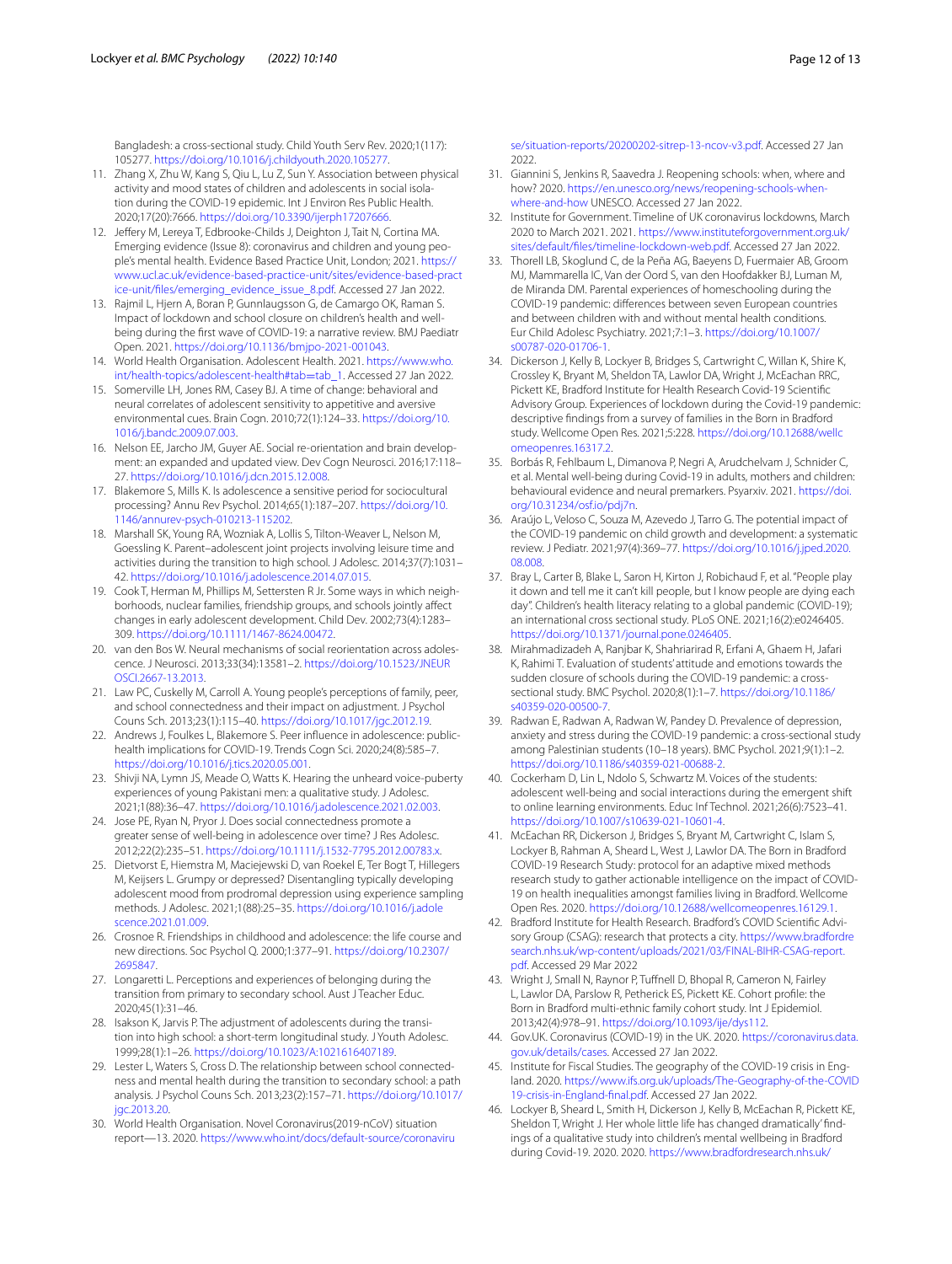Bangladesh: a cross-sectional study. Child Youth Serv Rev. 2020;1(117): 105277. [https://doi.org/10.1016/j.childyouth.2020.105277.](https://doi.org/10.1016/j.childyouth.2020.105277)

- <span id="page-11-0"></span>11. Zhang X, Zhu W, Kang S, Qiu L, Lu Z, Sun Y. Association between physical activity and mood states of children and adolescents in social isolation during the COVID-19 epidemic. Int J Environ Res Public Health. 2020;17(20):7666. [https://doi.org/10.3390/ijerph17207666.](https://doi.org/10.3390/ijerph17207666)
- <span id="page-11-1"></span>12. Jeffery M, Lereya T, Edbrooke-Childs J, Deighton J, Tait N, Cortina MA. Emerging evidence (Issue 8): coronavirus and children and young people's mental health. Evidence Based Practice Unit, London; 2021. [https://](https://www.ucl.ac.uk/evidence-based-practice-unit/sites/evidence-based-practice-unit/files/emerging_evidence_issue_8.pdf) [www.ucl.ac.uk/evidence-based-practice-unit/sites/evidence-based-pract](https://www.ucl.ac.uk/evidence-based-practice-unit/sites/evidence-based-practice-unit/files/emerging_evidence_issue_8.pdf) [ice-unit/fles/emerging\\_evidence\\_issue\\_8.pdf](https://www.ucl.ac.uk/evidence-based-practice-unit/sites/evidence-based-practice-unit/files/emerging_evidence_issue_8.pdf). Accessed 27 Jan 2022.
- <span id="page-11-2"></span>13. Rajmil L, Hjern A, Boran P, Gunnlaugsson G, de Camargo OK, Raman S. Impact of lockdown and school closure on children's health and wellbeing during the frst wave of COVID-19: a narrative review. BMJ Paediatr Open. 2021.<https://doi.org/10.1136/bmjpo-2021-001043>.
- <span id="page-11-3"></span>14. World Health Organisation. Adolescent Health. 2021. [https://www.who.](https://www.who.int/health-topics/adolescent-health#tab=tab_1) [int/health-topics/adolescent-health#tab](https://www.who.int/health-topics/adolescent-health#tab=tab_1)=tab\_1. Accessed 27 Jan 2022.
- <span id="page-11-4"></span>15. Somerville LH, Jones RM, Casey BJ. A time of change: behavioral and neural correlates of adolescent sensitivity to appetitive and aversive environmental cues. Brain Cogn. 2010;72(1):124–33. [https://doi.org/10.](https://doi.org/10.1016/j.bandc.2009.07.003) [1016/j.bandc.2009.07.003.](https://doi.org/10.1016/j.bandc.2009.07.003)
- <span id="page-11-5"></span>16. Nelson EE, Jarcho JM, Guyer AE. Social re-orientation and brain development: an expanded and updated view. Dev Cogn Neurosci. 2016;17:118– 27. [https://doi.org/10.1016/j.dcn.2015.12.008.](https://doi.org/10.1016/j.dcn.2015.12.008)
- 17. Blakemore S, Mills K. Is adolescence a sensitive period for sociocultural processing? Annu Rev Psychol. 2014;65(1):187–207. [https://doi.org/10.](https://doi.org/10.1146/annurev-psych-010213-115202) [1146/annurev-psych-010213-115202.](https://doi.org/10.1146/annurev-psych-010213-115202)
- <span id="page-11-6"></span>18. Marshall SK, Young RA, Wozniak A, Lollis S, Tilton-Weaver L, Nelson M, Goessling K. Parent–adolescent joint projects involving leisure time and activities during the transition to high school. J Adolesc. 2014;37(7):1031– 42. [https://doi.org/10.1016/j.adolescence.2014.07.015.](https://doi.org/10.1016/j.adolescence.2014.07.015)
- <span id="page-11-7"></span>19. Cook T, Herman M, Phillips M, Settersten R Jr. Some ways in which neighborhoods, nuclear families, friendship groups, and schools jointly afect changes in early adolescent development. Child Dev. 2002;73(4):1283– 309. [https://doi.org/10.1111/1467-8624.00472.](https://doi.org/10.1111/1467-8624.00472)
- 20. van den Bos W. Neural mechanisms of social reorientation across adolescence. J Neurosci. 2013;33(34):13581–2. [https://doi.org/10.1523/JNEUR](https://doi.org/10.1523/JNEUROSCI.2667-13.2013) [OSCI.2667-13.2013.](https://doi.org/10.1523/JNEUROSCI.2667-13.2013)
- <span id="page-11-8"></span>21. Law PC, Cuskelly M, Carroll A. Young people's perceptions of family, peer, and school connectedness and their impact on adjustment. J Psychol Couns Sch. 2013;23(1):115–40. [https://doi.org/10.1017/jgc.2012.19.](https://doi.org/10.1017/jgc.2012.19)
- <span id="page-11-9"></span>22. Andrews J, Foulkes L, Blakemore S. Peer infuence in adolescence: publichealth implications for COVID-19. Trends Cogn Sci. 2020;24(8):585–7. <https://doi.org/10.1016/j.tics.2020.05.001>.
- <span id="page-11-10"></span>23. Shivji NA, Lymn JS, Meade O, Watts K. Hearing the unheard voice-puberty experiences of young Pakistani men: a qualitative study. J Adolesc. 2021;1(88):36–47.<https://doi.org/10.1016/j.adolescence.2021.02.003>.
- 24. Jose PE, Ryan N, Pryor J. Does social connectedness promote a greater sense of well-being in adolescence over time? J Res Adolesc. 2012;22(2):235–51. <https://doi.org/10.1111/j.1532-7795.2012.00783.x>.
- <span id="page-11-11"></span>25. Dietvorst E, Hiemstra M, Maciejewski D, van Roekel E, Ter Bogt T, Hillegers M, Keijsers L. Grumpy or depressed? Disentangling typically developing adolescent mood from prodromal depression using experience sampling methods. J Adolesc. 2021;1(88):25–35. [https://doi.org/10.1016/j.adole](https://doi.org/10.1016/j.adolescence.2021.01.009) [scence.2021.01.009](https://doi.org/10.1016/j.adolescence.2021.01.009).
- <span id="page-11-12"></span>26. Crosnoe R. Friendships in childhood and adolescence: the life course and new directions. Soc Psychol Q. 2000;1:377–91. [https://doi.org/10.2307/](https://doi.org/10.2307/2695847) [2695847](https://doi.org/10.2307/2695847).
- <span id="page-11-13"></span>27. Longaretti L. Perceptions and experiences of belonging during the transition from primary to secondary school. Aust J Teacher Educ. 2020;45(1):31–46.
- 28. Isakson K, Jarvis P. The adjustment of adolescents during the transition into high school: a short-term longitudinal study. J Youth Adolesc. 1999;28(1):1–26. [https://doi.org/10.1023/A:1021616407189.](https://doi.org/10.1023/A:1021616407189)
- <span id="page-11-14"></span>29. Lester L, Waters S, Cross D. The relationship between school connectedness and mental health during the transition to secondary school: a path analysis. J Psychol Couns Sch. 2013;23(2):157–71. [https://doi.org/10.1017/](https://doi.org/10.1017/jgc.2013.20) [jgc.2013.20](https://doi.org/10.1017/jgc.2013.20).
- <span id="page-11-15"></span>30. World Health Organisation. Novel Coronavirus(2019-nCoV) situation report—13. 2020. [https://www.who.int/docs/default-source/coronaviru](https://www.who.int/docs/default-source/coronaviruse/situation-reports/20200202-sitrep-13-ncov-v3.pdf)

[se/situation-reports/20200202-sitrep-13-ncov-v3.pdf](https://www.who.int/docs/default-source/coronaviruse/situation-reports/20200202-sitrep-13-ncov-v3.pdf). Accessed 27 Jan 2022.

- <span id="page-11-16"></span>31. Giannini S, Jenkins R, Saavedra J. Reopening schools: when, where and how? 2020. [https://en.unesco.org/news/reopening-schools-when](https://en.unesco.org/news/reopening-schools-when-where-and-how)[where-and-how](https://en.unesco.org/news/reopening-schools-when-where-and-how) UNESCO. Accessed 27 Jan 2022.
- <span id="page-11-17"></span>32. Institute for Government. Timeline of UK coronavirus lockdowns, March 2020 to March 2021. 2021. [https://www.instituteforgovernment.org.uk/](https://www.instituteforgovernment.org.uk/sites/default/files/timeline-lockdown-web.pdf) [sites/default/fles/timeline-lockdown-web.pdf](https://www.instituteforgovernment.org.uk/sites/default/files/timeline-lockdown-web.pdf). Accessed 27 Jan 2022.
- <span id="page-11-18"></span>33. Thorell LB, Skoglund C, de la Peña AG, Baeyens D, Fuermaier AB, Groom MJ, Mammarella IC, Van der Oord S, van den Hoofdakker BJ, Luman M, de Miranda DM. Parental experiences of homeschooling during the COVID-19 pandemic: diferences between seven European countries and between children with and without mental health conditions. Eur Child Adolesc Psychiatry. 2021;7:1–3. [https://doi.org/10.1007/](https://doi.org/10.1007/s00787-020-01706-1) [s00787-020-01706-1](https://doi.org/10.1007/s00787-020-01706-1).
- <span id="page-11-19"></span>34. Dickerson J, Kelly B, Lockyer B, Bridges S, Cartwright C, Willan K, Shire K, Crossley K, Bryant M, Sheldon TA, Lawlor DA, Wright J, McEachan RRC, Pickett KE, Bradford Institute for Health Research Covid-19 Scientifc Advisory Group. Experiences of lockdown during the Covid-19 pandemic: descriptive fndings from a survey of families in the Born in Bradford study. Wellcome Open Res. 2021;5:228. [https://doi.org/10.12688/wellc](https://doi.org/10.12688/wellcomeopenres.16317.2) [omeopenres.16317.2](https://doi.org/10.12688/wellcomeopenres.16317.2).
- <span id="page-11-20"></span>35. Borbás R, Fehlbaum L, Dimanova P, Negri A, Arudchelvam J, Schnider C, et al. Mental well-being during Covid-19 in adults, mothers and children: behavioural evidence and neural premarkers. Psyarxiv. 2021. [https://doi.](https://doi.org/10.31234/osf.io/pdj7n) [org/10.31234/osf.io/pdj7n.](https://doi.org/10.31234/osf.io/pdj7n)
- <span id="page-11-21"></span>36. Araújo L, Veloso C, Souza M, Azevedo J, Tarro G. The potential impact of the COVID-19 pandemic on child growth and development: a systematic review. J Pediatr. 2021;97(4):369–77. [https://doi.org/10.1016/j.jped.2020.](https://doi.org/10.1016/j.jped.2020.08.008) [08.008](https://doi.org/10.1016/j.jped.2020.08.008).
- <span id="page-11-22"></span>37. Bray L, Carter B, Blake L, Saron H, Kirton J, Robichaud F, et al. "People play it down and tell me it can't kill people, but I know people are dying each day". Children's health literacy relating to a global pandemic (COVID-19); an international cross sectional study. PLoS ONE. 2021;16(2):e0246405. <https://doi.org/10.1371/journal.pone.0246405>.
- <span id="page-11-23"></span>38. Mirahmadizadeh A, Ranjbar K, Shahriarirad R, Erfani A, Ghaem H, Jafari K, Rahimi T. Evaluation of students' attitude and emotions towards the sudden closure of schools during the COVID-19 pandemic: a crosssectional study. BMC Psychol. 2020;8(1):1–7. [https://doi.org/10.1186/](https://doi.org/10.1186/s40359-020-00500-7) [s40359-020-00500-7](https://doi.org/10.1186/s40359-020-00500-7).
- <span id="page-11-24"></span>39. Radwan E, Radwan A, Radwan W, Pandey D. Prevalence of depression, anxiety and stress during the COVID-19 pandemic: a cross-sectional study among Palestinian students (10–18 years). BMC Psychol. 2021;9(1):1–2. <https://doi.org/10.1186/s40359-021-00688-2>.
- <span id="page-11-25"></span>40. Cockerham D, Lin L, Ndolo S, Schwartz M. Voices of the students: adolescent well-being and social interactions during the emergent shift to online learning environments. Educ Inf Technol. 2021;26(6):7523–41. <https://doi.org/10.1007/s10639-021-10601-4>.
- <span id="page-11-26"></span>41. McEachan RR, Dickerson J, Bridges S, Bryant M, Cartwright C, Islam S, Lockyer B, Rahman A, Sheard L, West J, Lawlor DA. The Born in Bradford COVID-19 Research Study: protocol for an adaptive mixed methods research study to gather actionable intelligence on the impact of COVID-19 on health inequalities amongst families living in Bradford. Wellcome Open Res. 2020. [https://doi.org/10.12688/wellcomeopenres.16129.1.](https://doi.org/10.12688/wellcomeopenres.16129.1)
- <span id="page-11-28"></span>42. Bradford Institute for Health Research. Bradford's COVID Scientifc Advisory Group (CSAG): research that protects a city. [https://www.bradfordre](https://www.bradfordresearch.nhs.uk/wp-content/uploads/2021/03/FINAL-BIHR-CSAG-report.pdf) [search.nhs.uk/wp-content/uploads/2021/03/FINAL-BIHR-CSAG-report.](https://www.bradfordresearch.nhs.uk/wp-content/uploads/2021/03/FINAL-BIHR-CSAG-report.pdf) [pdf.](https://www.bradfordresearch.nhs.uk/wp-content/uploads/2021/03/FINAL-BIHR-CSAG-report.pdf) Accessed 29 Mar 2022
- <span id="page-11-27"></span>43. Wright J, Small N, Raynor P, Tuffnell D, Bhopal R, Cameron N, Fairley L, Lawlor DA, Parslow R, Petherick ES, Pickett KE. Cohort profle: the Born in Bradford multi-ethnic family cohort study. Int J Epidemiol. 2013;42(4):978–91. <https://doi.org/10.1093/ije/dys112>.
- <span id="page-11-29"></span>44. Gov.UK. Coronavirus (COVID-19) in the UK. 2020. [https://coronavirus.data.](https://coronavirus.data.gov.uk/details/cases) [gov.uk/details/cases.](https://coronavirus.data.gov.uk/details/cases) Accessed 27 Jan 2022.
- <span id="page-11-30"></span>45. Institute for Fiscal Studies. The geography of the COVID-19 crisis in England. 2020. [https://www.ifs.org.uk/uploads/The-Geography-of-the-COVID](https://www.ifs.org.uk/uploads/The-Geography-of-the-COVID19-crisis-in-England-final.pdf) [19-crisis-in-England-fnal.pdf.](https://www.ifs.org.uk/uploads/The-Geography-of-the-COVID19-crisis-in-England-final.pdf) Accessed 27 Jan 2022.
- <span id="page-11-31"></span>46. Lockyer B, Sheard L, Smith H, Dickerson J, Kelly B, McEachan R, Pickett KE, Sheldon T, Wright J. Her whole little life has changed dramatically' fndings of a qualitative study into children's mental wellbeing in Bradford during Covid-19. 2020. 2020. [https://www.bradfordresearch.nhs.uk/](https://www.bradfordresearch.nhs.uk/wp-content/uploads/2020/11/CSAGChildrens-Mental-Wellbeing-Report-11th-November-2020.pdf)